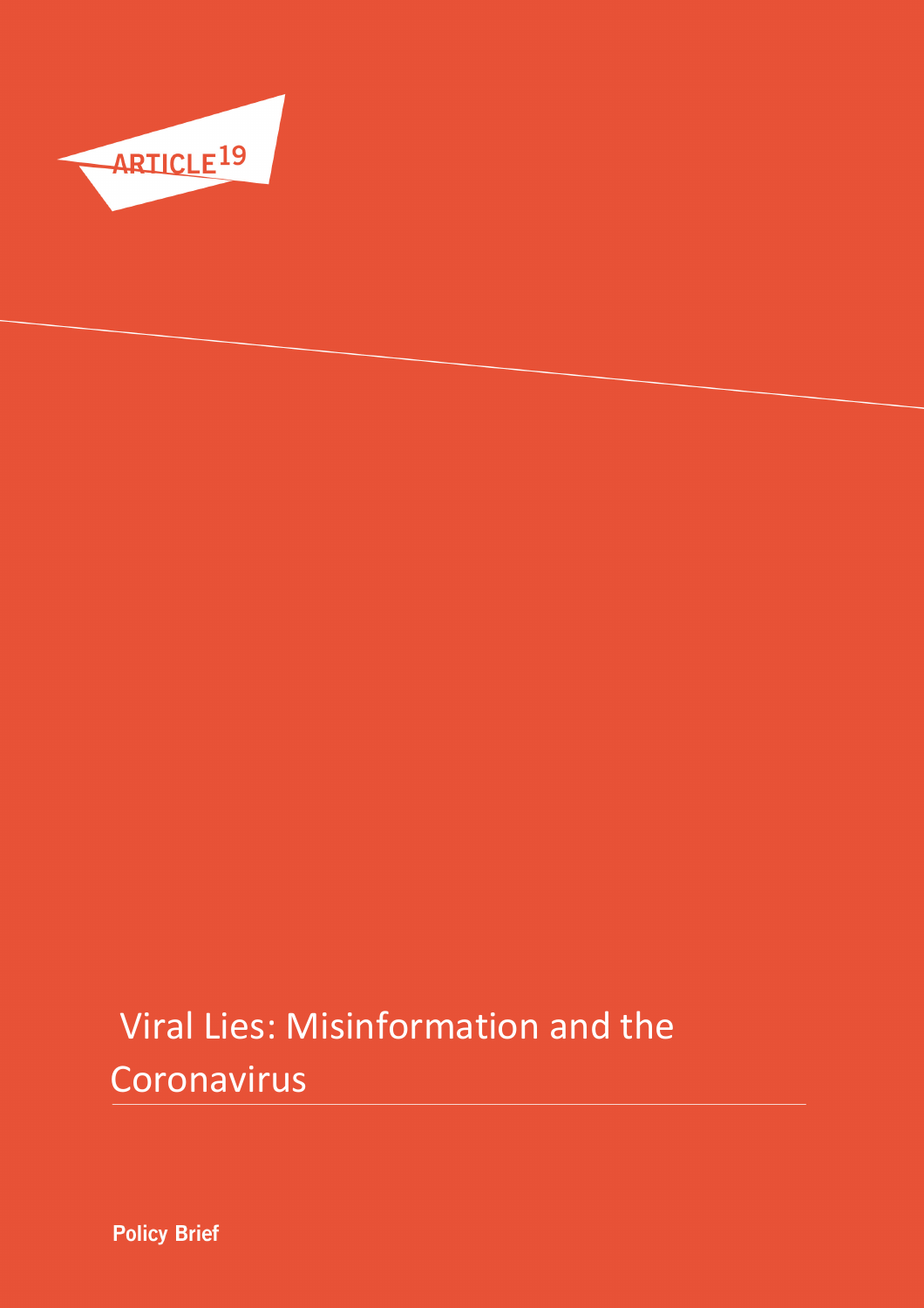

# Viral Lies: Misinformation and the **Coronavirus**

**Policy Brief**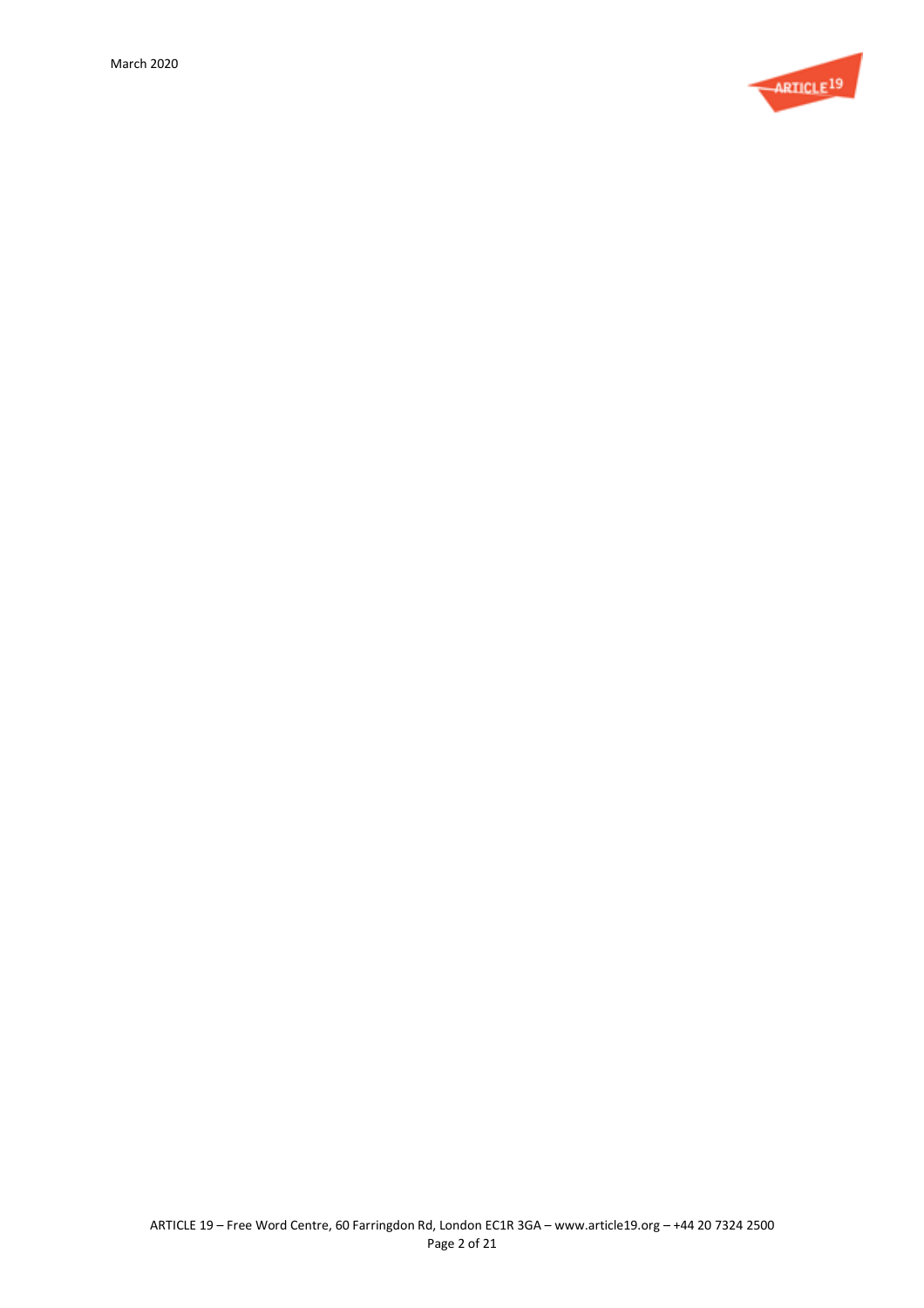March 2020

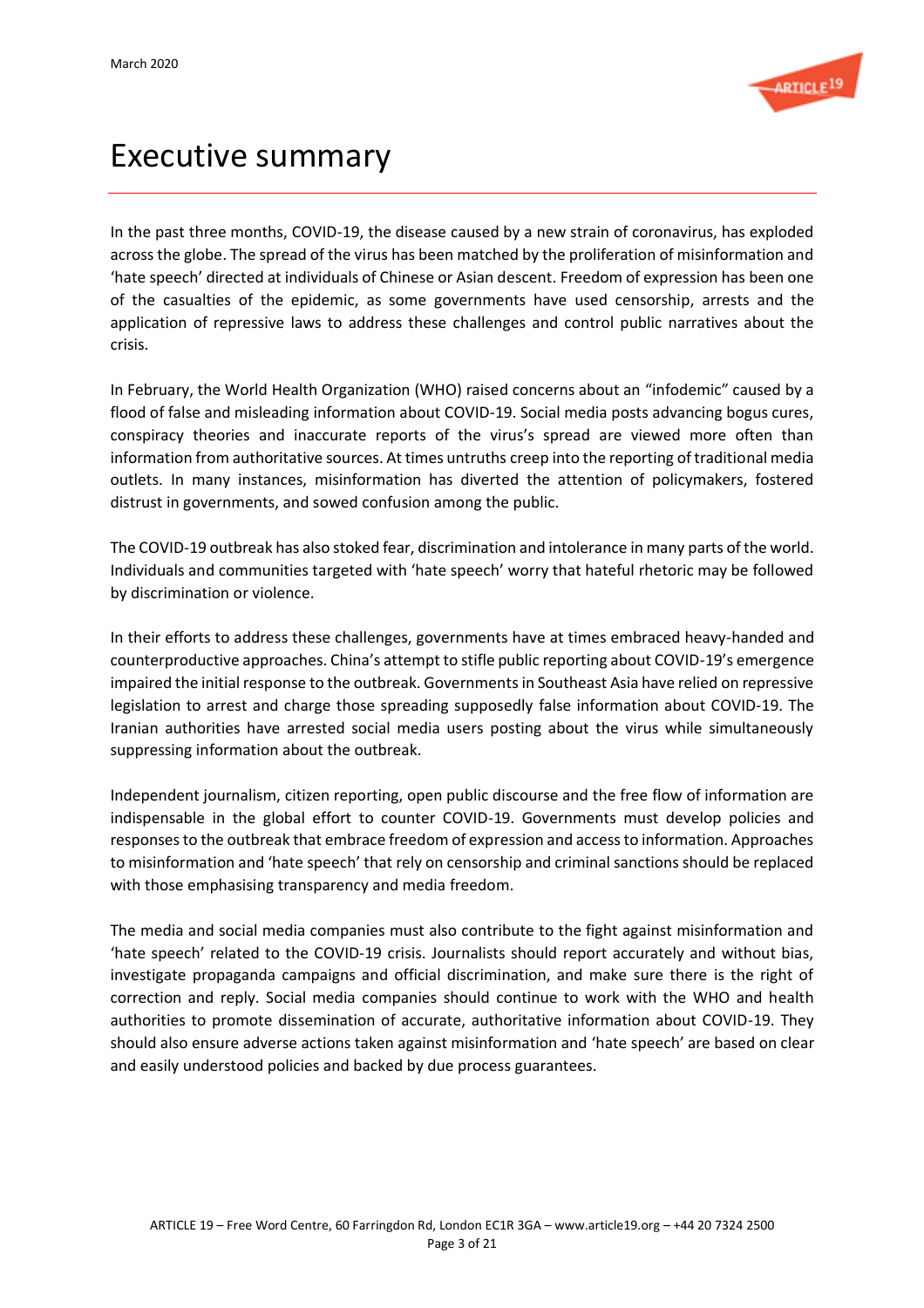

### Executive summary

In the past three months, COVID-19, the disease caused by a new strain of coronavirus, has exploded across the globe. The spread of the virus has been matched by the proliferation of misinformation and 'hate speech' directed at individuals of Chinese or Asian descent. Freedom of expression has been one of the casualties of the epidemic, as some governments have used censorship, arrests and the application of repressive laws to address these challenges and control public narratives about the crisis.

In February, the World Health Organization (WHO) raised concerns about an "infodemic" caused by a flood of false and misleading information about COVID-19. Social media posts advancing bogus cures, conspiracy theories and inaccurate reports of the virus's spread are viewed more often than information from authoritative sources. At times untruths creep into the reporting of traditional media outlets. In many instances, misinformation has diverted the attention of policymakers, fostered distrust in governments, and sowed confusion among the public.

The COVID-19 outbreak has also stoked fear, discrimination and intolerance in many parts of the world. Individuals and communities targeted with 'hate speech' worry that hateful rhetoric may be followed by discrimination or violence.

In their efforts to address these challenges, governments have at times embraced heavy-handed and counterproductive approaches. China's attempt to stifle public reporting about COVID-19's emergence impaired the initial response to the outbreak. Governments in Southeast Asia have relied on repressive legislation to arrest and charge those spreading supposedly false information about COVID-19. The Iranian authorities have arrested social media users posting about the virus while simultaneously suppressing information about the outbreak.

Independent journalism, citizen reporting, open public discourse and the free flow of information are indispensable in the global effort to counter COVID-19. Governments must develop policies and responses to the outbreak that embrace freedom of expression and access to information. Approaches to misinformation and 'hate speech' that rely on censorship and criminal sanctions should be replaced with those emphasising transparency and media freedom.

The media and social media companies must also contribute to the fight against misinformation and 'hate speech' related to the COVID-19 crisis. Journalists should report accurately and without bias, investigate propaganda campaigns and official discrimination, and make sure there is the right of correction and reply. Social media companies should continue to work with the WHO and health authorities to promote dissemination of accurate, authoritative information about COVID-19. They should also ensure adverse actions taken against misinformation and 'hate speech' are based on clear and easily understood policies and backed by due process guarantees.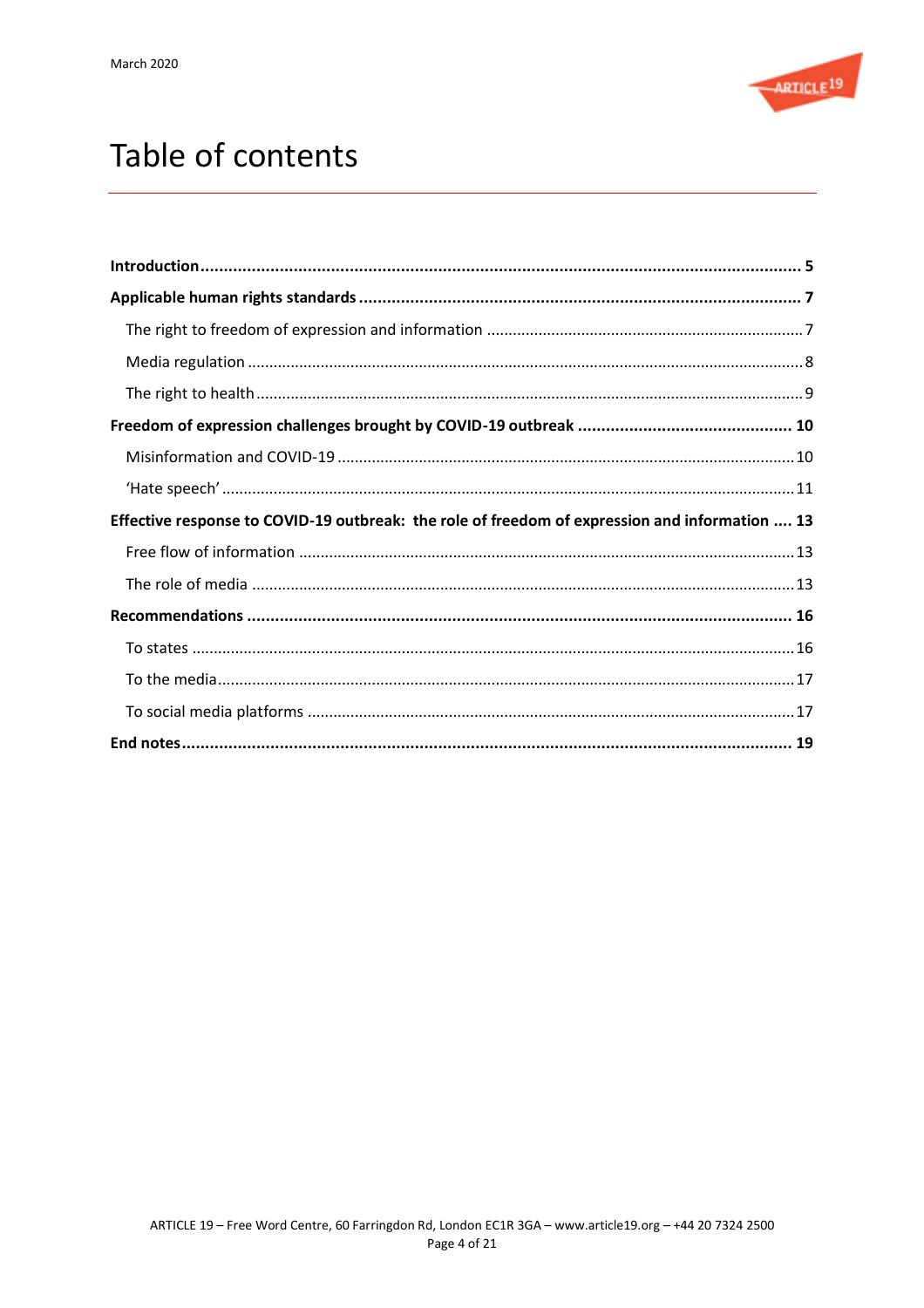

### Table of contents

| Effective response to COVID-19 outbreak: the role of freedom of expression and information  13 |
|------------------------------------------------------------------------------------------------|
|                                                                                                |
|                                                                                                |
|                                                                                                |
|                                                                                                |
|                                                                                                |
|                                                                                                |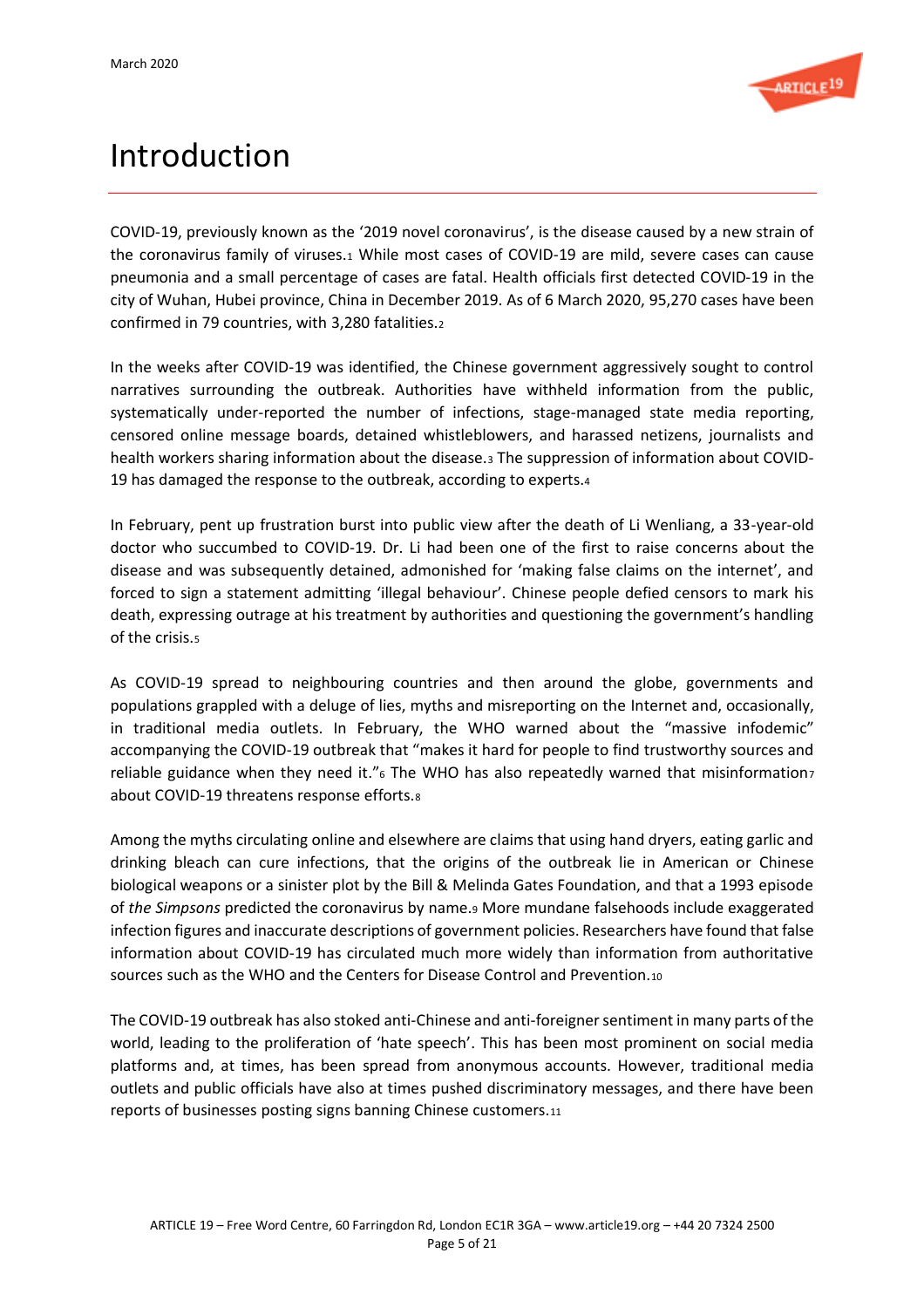

### <span id="page-4-0"></span>Introduction

COVID-19, previously known as the '2019 novel coronavirus', is the disease caused by a new strain of the coronavirus family of viruses.<sup>1</sup> While most cases of COVID-19 are mild, severe cases can cause pneumonia and a small percentage of cases are fatal. Health officials first detected COVID-19 in the city of Wuhan, Hubei province, China in December 2019. As of 6 March 2020, 95,270 cases have been confirmed in 79 countries, with 3,280 fatalities.<sup>2</sup>

In the weeks after COVID-19 was identified, the Chinese government aggressively sought to control narratives surrounding the outbreak. Authorities have withheld information from the public, systematically under-reported the number of infections, stage-managed state media reporting, censored online message boards, detained whistleblowers, and harassed netizens, journalists and health workers sharing information about the disease.<sup>3</sup> The suppression of information about COVID-19 has damaged the response to the outbreak, according to experts.<sup>4</sup>

In February, pent up frustration burst into public view after the death of Li Wenliang, a 33-year-old doctor who succumbed to COVID-19. Dr. Li had been one of the first to raise concerns about the disease and was subsequently detained, admonished for 'making false claims on the internet', and forced to sign a statement admitting 'illegal behaviour'. Chinese people defied censors to mark his death, expressing outrage at his treatment by authorities and questioning the government's handling of the crisis.<sup>5</sup>

As COVID-19 spread to neighbouring countries and then around the globe, governments and populations grappled with a deluge of lies, myths and misreporting on the Internet and, occasionally, in traditional media outlets. In February, the WHO warned about the "massive infodemic" accompanying the COVID-19 outbreak that "makes it hard for people to find trustworthy sources and reliable guidance when they need it."<sup>6</sup> The WHO has also repeatedly warned that misinformation7 about COVID-19 threatens response efforts.<sup>8</sup>

Among the myths circulating online and elsewhere are claims that using hand dryers, eating garlic and drinking bleach can cure infections, that the origins of the outbreak lie in American or Chinese biological weapons or a sinister plot by the Bill & Melinda Gates Foundation, and that a 1993 episode of *the Simpsons* predicted the coronavirus by name.<sup>9</sup> More mundane falsehoods include exaggerated infection figures and inaccurate descriptions of government policies. Researchers have found that false information about COVID-19 has circulated much more widely than information from authoritative sources such as the WHO and the Centers for Disease Control and Prevention.<sup>10</sup>

The COVID-19 outbreak has also stoked anti-Chinese and anti-foreigner sentiment in many parts of the world, leading to the proliferation of 'hate speech'. This has been most prominent on social media platforms and, at times, has been spread from anonymous accounts. However, traditional media outlets and public officials have also at times pushed discriminatory messages, and there have been reports of businesses posting signs banning Chinese customers.11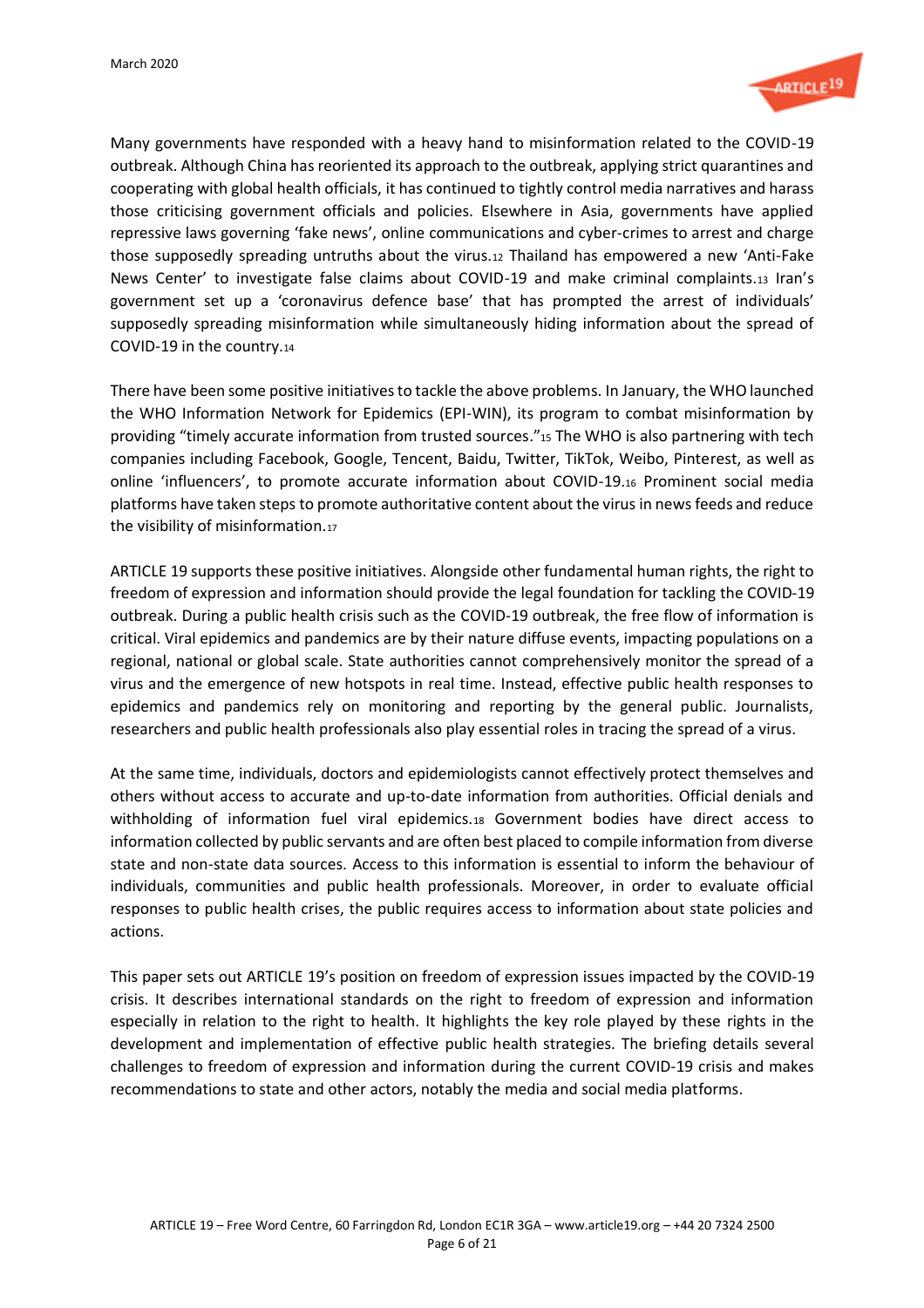

Many governments have responded with a heavy hand to misinformation related to the COVID-19 outbreak. Although China has reoriented its approach to the outbreak, applying strict quarantines and cooperating with global health officials, it has continued to tightly control media narratives and harass those criticising government officials and policies. Elsewhere in Asia, governments have applied repressive laws governing 'fake news', online communications and cyber-crimes to arrest and charge those supposedly spreading untruths about the virus.<sup>12</sup> Thailand has empowered a new 'Anti-Fake News Center' to investigate false claims about COVID-19 and make criminal complaints.13 Iran's government set up a 'coronavirus defence base' that has prompted the arrest of individuals' supposedly spreading misinformation while simultaneously hiding information about the spread of COVID-19 in the country.<sup>14</sup>

There have been some positive initiatives to tackle the above problems. In January, the WHO launched the WHO Information Network for Epidemics (EPI-WIN), its program to combat misinformation by providing "timely accurate information from trusted sources."<sup>15</sup> The WHO is also partnering with tech companies including Facebook, Google, Tencent, Baidu, Twitter, TikTok, Weibo, Pinterest, as well as online 'influencers', to promote accurate information about COVID-19.<sup>16</sup> Prominent social media platforms have taken steps to promote authoritative content about the virus in news feeds and reduce the visibility of misinformation.<sup>17</sup>

ARTICLE 19 supports these positive initiatives. Alongside other fundamental human rights, the right to freedom of expression and information should provide the legal foundation for tackling the COVID-19 outbreak. During a public health crisis such as the COVID-19 outbreak, the free flow of information is critical. Viral epidemics and pandemics are by their nature diffuse events, impacting populations on a regional, national or global scale. State authorities cannot comprehensively monitor the spread of a virus and the emergence of new hotspots in real time. Instead, effective public health responses to epidemics and pandemics rely on monitoring and reporting by the general public. Journalists, researchers and public health professionals also play essential roles in tracing the spread of a virus.

At the same time, individuals, doctors and epidemiologists cannot effectively protect themselves and others without access to accurate and up-to-date information from authorities. Official denials and withholding of information fuel viral epidemics.<sup>18</sup> Government bodies have direct access to information collected by public servants and are often best placed to compile information from diverse state and non-state data sources. Access to this information is essential to inform the behaviour of individuals, communities and public health professionals. Moreover, in order to evaluate official responses to public health crises, the public requires access to information about state policies and actions.

This paper sets out ARTICLE 19's position on freedom of expression issues impacted by the COVID-19 crisis. It describes international standards on the right to freedom of expression and information especially in relation to the right to health. It highlights the key role played by these rights in the development and implementation of effective public health strategies. The briefing details several challenges to freedom of expression and information during the current COVID-19 crisis and makes recommendations to state and other actors, notably the media and social media platforms.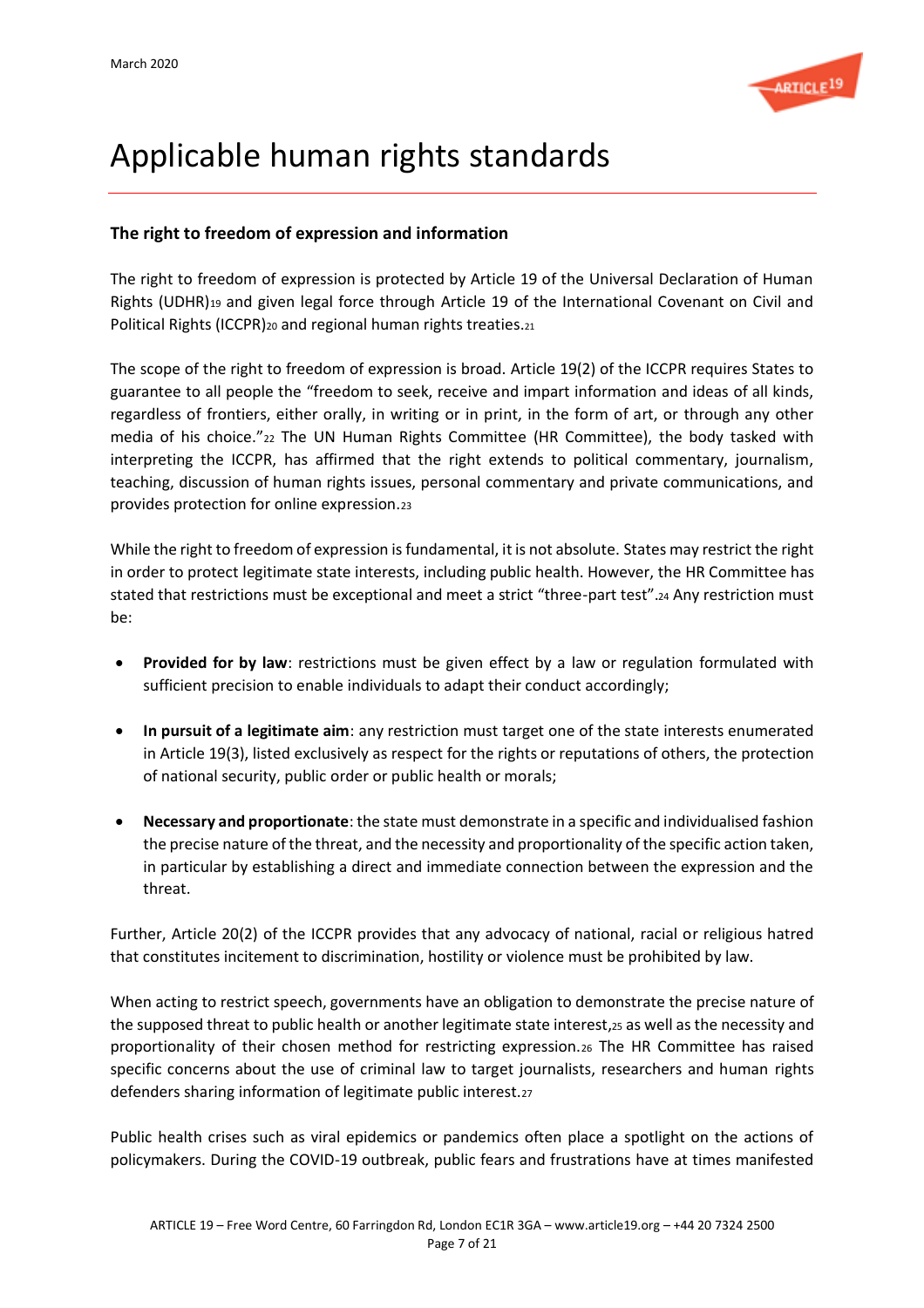

### <span id="page-6-0"></span>Applicable human rights standards

#### <span id="page-6-1"></span>**The right to freedom of expression and information**

The right to freedom of expression is protected by Article 19 of the Universal Declaration of Human Rights (UDHR)<sup>19</sup> and given legal force through Article 19 of the International Covenant on Civil and Political Rights (ICCPR)<sub>20</sub> and regional human rights treaties.<sub>21</sub>

The scope of the right to freedom of expression is broad. Article 19(2) of the ICCPR requires States to guarantee to all people the "freedom to seek, receive and impart information and ideas of all kinds, regardless of frontiers, either orally, in writing or in print, in the form of art, or through any other media of his choice."<sup>22</sup> The UN Human Rights Committee (HR Committee), the body tasked with interpreting the ICCPR, has affirmed that the right extends to political commentary, journalism, teaching, discussion of human rights issues, personal commentary and private communications, and provides protection for online expression.<sup>23</sup>

While the right to freedom of expression is fundamental, it is not absolute. States may restrict the right in order to protect legitimate state interests, including public health. However, the HR Committee has stated that restrictions must be exceptional and meet a strict "three-part test".<sup>24</sup> Any restriction must be:

- **Provided for by law**: restrictions must be given effect by a law or regulation formulated with sufficient precision to enable individuals to adapt their conduct accordingly;
- **In pursuit of a legitimate aim**: any restriction must target one of the state interests enumerated in Article 19(3), listed exclusively as respect for the rights or reputations of others, the protection of national security, public order or public health or morals;
- **Necessary and proportionate**: the state must demonstrate in a specific and individualised fashion the precise nature of the threat, and the necessity and proportionality of the specific action taken, in particular by establishing a direct and immediate connection between the expression and the threat.

Further, Article 20(2) of the ICCPR provides that any advocacy of national, racial or religious hatred that constitutes incitement to discrimination, hostility or violence must be prohibited by law.

When acting to restrict speech, governments have an obligation to demonstrate the precise nature of the supposed threat to public health or another legitimate state interest, 25 as well as the necessity and proportionality of their chosen method for restricting expression.<sup>26</sup> The HR Committee has raised specific concerns about the use of criminal law to target journalists, researchers and human rights defenders sharing information of legitimate public interest.<sup>27</sup>

Public health crises such as viral epidemics or pandemics often place a spotlight on the actions of policymakers. During the COVID-19 outbreak, public fears and frustrations have at times manifested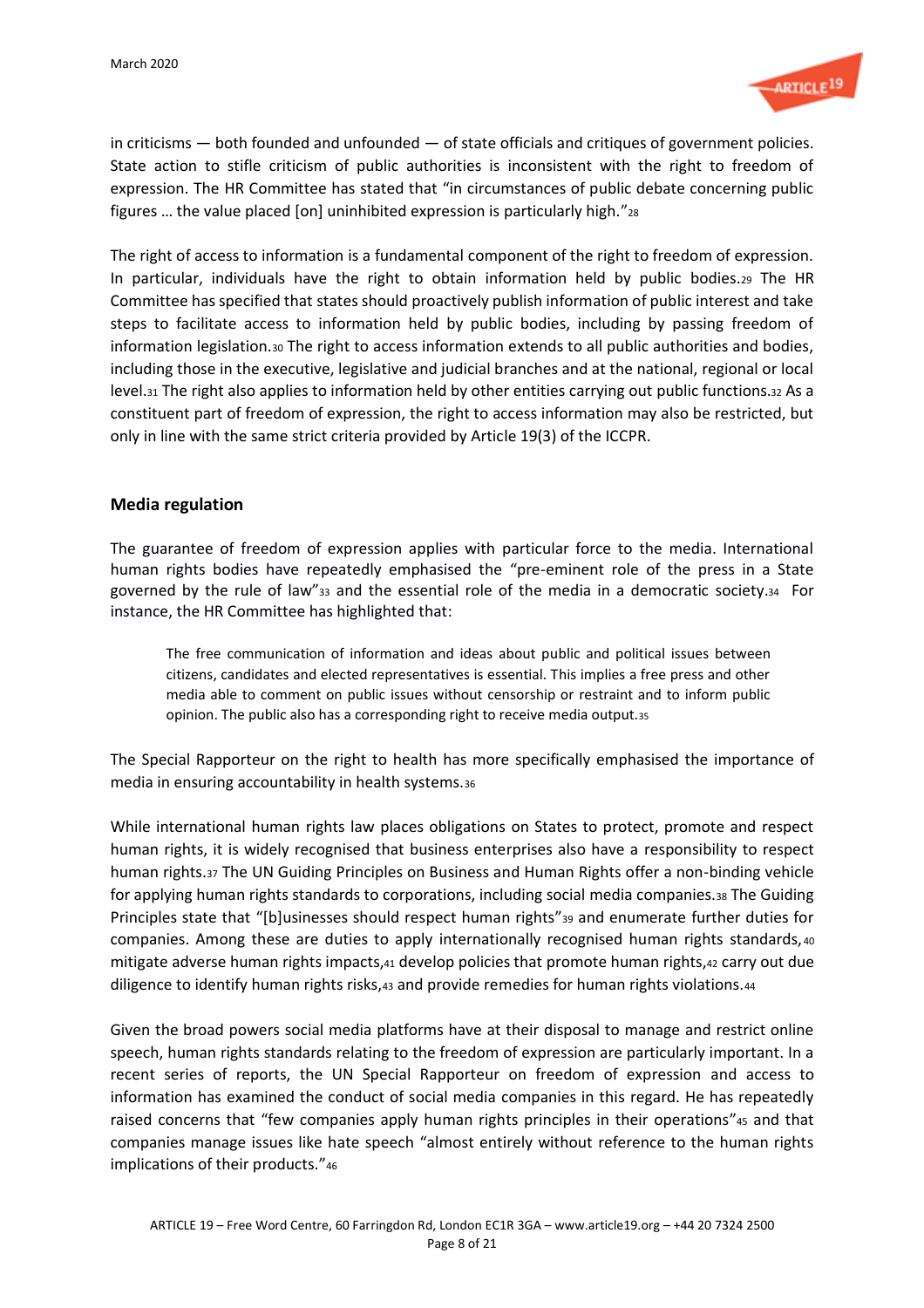

in criticisms — both founded and unfounded — of state officials and critiques of government policies. State action to stifle criticism of public authorities is inconsistent with the right to freedom of expression. The HR Committee has stated that "in circumstances of public debate concerning public figures … the value placed [on] uninhibited expression is particularly high."<sup>28</sup>

The right of access to information is a fundamental component of the right to freedom of expression. In particular, individuals have the right to obtain information held by public bodies.<sup>29</sup> The HR Committee has specified that states should proactively publish information of public interest and take steps to facilitate access to information held by public bodies, including by passing freedom of information legislation.<sup>30</sup> The right to access information extends to all public authorities and bodies, including those in the executive, legislative and judicial branches and at the national, regional or local level.<sup>31</sup> The right also applies to information held by other entities carrying out public functions.<sup>32</sup> As a constituent part of freedom of expression, the right to access information may also be restricted, but only in line with the same strict criteria provided by Article 19(3) of the ICCPR.

#### <span id="page-7-0"></span>**Media regulation**

The guarantee of freedom of expression applies with particular force to the media. International human rights bodies have repeatedly emphasised the "pre-eminent role of the press in a State governed by the rule of law"<sup>33</sup> and the essential role of the media in a democratic society.34 For instance, the HR Committee has highlighted that:

The free communication of information and ideas about public and political issues between citizens, candidates and elected representatives is essential. This implies a free press and other media able to comment on public issues without censorship or restraint and to inform public opinion. The public also has a corresponding right to receive media output.<sup>35</sup>

The Special Rapporteur on the right to health has more specifically emphasised the importance of media in ensuring accountability in health systems.<sup>36</sup>

While international human rights law places obligations on States to protect, promote and respect human rights, it is widely recognised that business enterprises also have a responsibility to respect human rights.<sup>37</sup> The UN Guiding Principles on Business and Human Rights offer a non-binding vehicle for applying human rights standards to corporations, including social media companies.<sup>38</sup> The Guiding Principles state that "[b]usinesses should respect human rights"<sup>39</sup> and enumerate further duties for companies. Among these are duties to apply internationally recognised human rights standards, <sup>40</sup> mitigate adverse human rights impacts,<sup>41</sup> develop policies that promote human rights,<sup>42</sup> carry out due diligence to identify human rights risks, 43 and provide remedies for human rights violations. 44

Given the broad powers social media platforms have at their disposal to manage and restrict online speech, human rights standards relating to the freedom of expression are particularly important. In a recent series of reports, the UN Special Rapporteur on freedom of expression and access to information has examined the conduct of social media companies in this regard. He has repeatedly raised concerns that "few companies apply human rights principles in their operations"<sub>45</sub> and that companies manage issues like hate speech "almost entirely without reference to the human rights implications of their products."46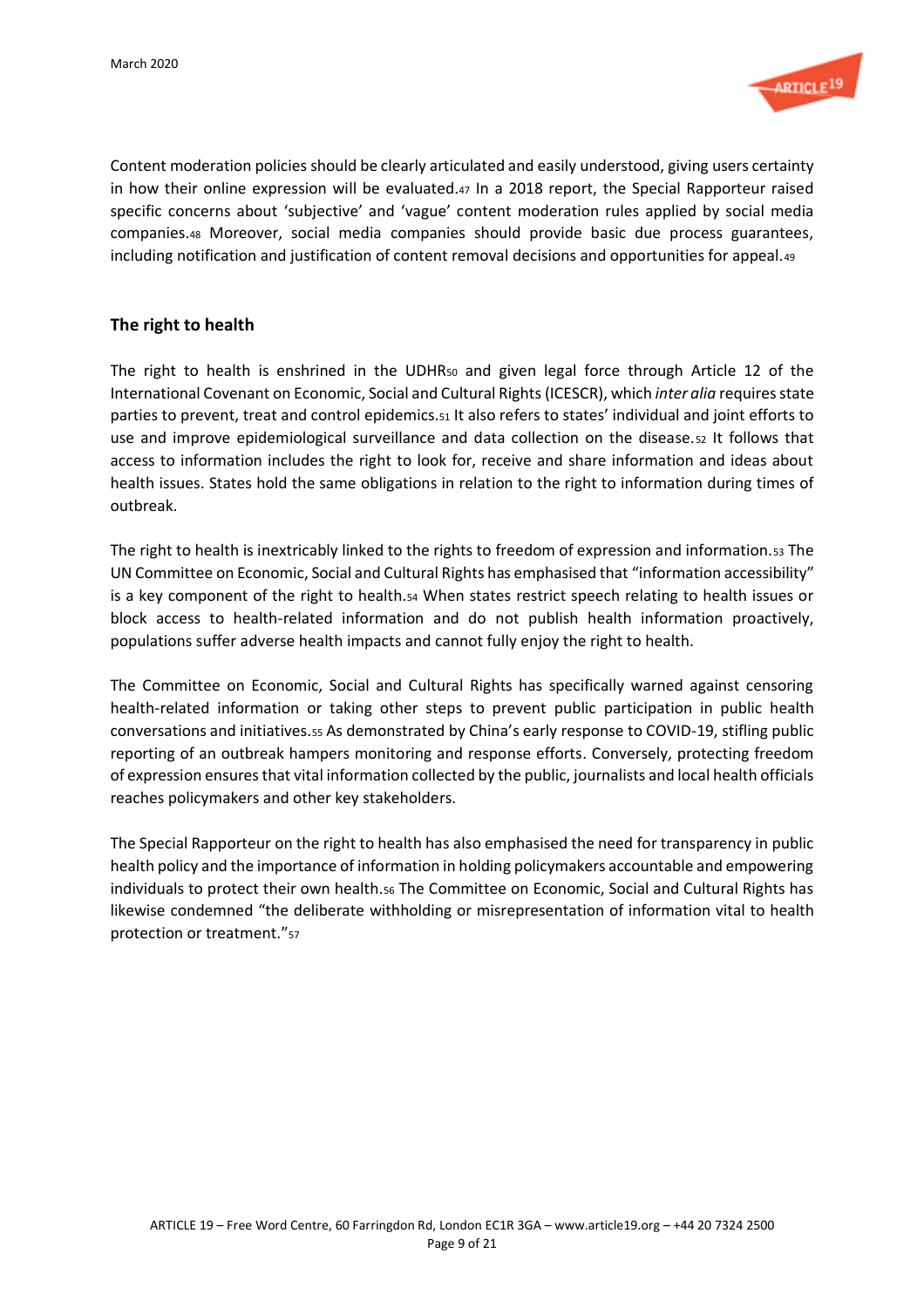

Content moderation policies should be clearly articulated and easily understood, giving users certainty in how their online expression will be evaluated.<sup>47</sup> In a 2018 report, the Special Rapporteur raised specific concerns about 'subjective' and 'vague' content moderation rules applied by social media companies.<sup>48</sup> Moreover, social media companies should provide basic due process guarantees, including notification and justification of content removal decisions and opportunities for appeal.<sup>49</sup>

#### <span id="page-8-0"></span>**The right to health**

The right to health is enshrined in the UDHR<sub>50</sub> and given legal force through Article 12 of the International Covenant on Economic, Social and Cultural Rights (ICESCR), which *inter alia* requires state parties to prevent, treat and control epidemics.<sup>51</sup> It also refers to states' individual and joint efforts to use and improve epidemiological surveillance and data collection on the disease.<sup>52</sup> It follows that access to information includes the right to look for, receive and share information and ideas about health issues. States hold the same obligations in relation to the right to information during times of outbreak.

The right to health is inextricably linked to the rights to freedom of expression and information.<sup>53</sup> The UN Committee on Economic, Social and Cultural Rights has emphasised that "information accessibility" is a key component of the right to health.<sup>54</sup> When states restrict speech relating to health issues or block access to health-related information and do not publish health information proactively, populations suffer adverse health impacts and cannot fully enjoy the right to health.

The Committee on Economic, Social and Cultural Rights has specifically warned against censoring health-related information or taking other steps to prevent public participation in public health conversations and initiatives.<sup>55</sup> As demonstrated by China's early response to COVID-19, stifling public reporting of an outbreak hampers monitoring and response efforts. Conversely, protecting freedom of expression ensures that vital information collected by the public, journalists and local health officials reaches policymakers and other key stakeholders.

The Special Rapporteur on the right to health has also emphasised the need for transparency in public health policy and the importance of information in holding policymakers accountable and empowering individuals to protect their own health.<sup>56</sup> The Committee on Economic, Social and Cultural Rights has likewise condemned "the deliberate withholding or misrepresentation of information vital to health protection or treatment."57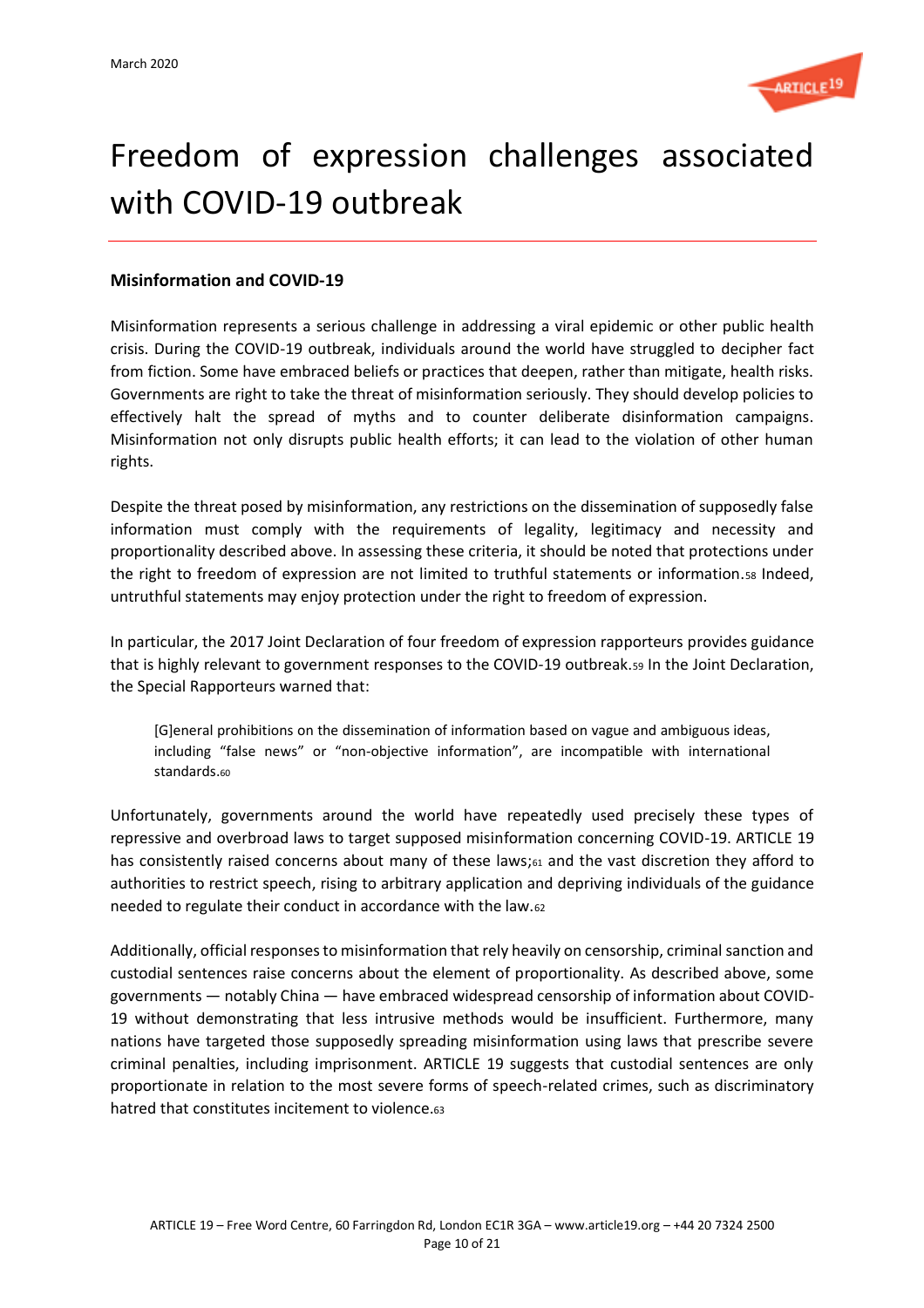

# <span id="page-9-0"></span>Freedom of expression challenges associated with COVID-19 outbreak

#### <span id="page-9-1"></span>**Misinformation and COVID-19**

Misinformation represents a serious challenge in addressing a viral epidemic or other public health crisis. During the COVID-19 outbreak, individuals around the world have struggled to decipher fact from fiction. Some have embraced beliefs or practices that deepen, rather than mitigate, health risks. Governments are right to take the threat of misinformation seriously. They should develop policies to effectively halt the spread of myths and to counter deliberate disinformation campaigns. Misinformation not only disrupts public health efforts; it can lead to the violation of other human rights.

Despite the threat posed by misinformation, any restrictions on the dissemination of supposedly false information must comply with the requirements of legality, legitimacy and necessity and proportionality described above. In assessing these criteria, it should be noted that protections under the right to freedom of expression are not limited to truthful statements or information.<sup>58</sup> Indeed, untruthful statements may enjoy protection under the right to freedom of expression.

In particular, the 2017 Joint Declaration of four freedom of expression rapporteurs provides guidance that is highly relevant to government responses to the COVID-19 outbreak.<sup>59</sup> In the Joint Declaration, the Special Rapporteurs warned that:

[G]eneral prohibitions on the dissemination of information based on vague and ambiguous ideas, including "false news" or "non-objective information", are incompatible with international standards.<sup>60</sup>

Unfortunately, governments around the world have repeatedly used precisely these types of repressive and overbroad laws to target supposed misinformation concerning COVID-19. ARTICLE 19 has consistently raised concerns about many of these laws;<sup>61</sup> and the vast discretion they afford to authorities to restrict speech, rising to arbitrary application and depriving individuals of the guidance needed to regulate their conduct in accordance with the law.<sup>62</sup>

Additionally, official responses to misinformation that rely heavily on censorship, criminal sanction and custodial sentences raise concerns about the element of proportionality. As described above, some governments — notably China — have embraced widespread censorship of information about COVID-19 without demonstrating that less intrusive methods would be insufficient. Furthermore, many nations have targeted those supposedly spreading misinformation using laws that prescribe severe criminal penalties, including imprisonment. ARTICLE 19 suggests that custodial sentences are only proportionate in relation to the most severe forms of speech-related crimes, such as discriminatory hatred that constitutes incitement to violence.63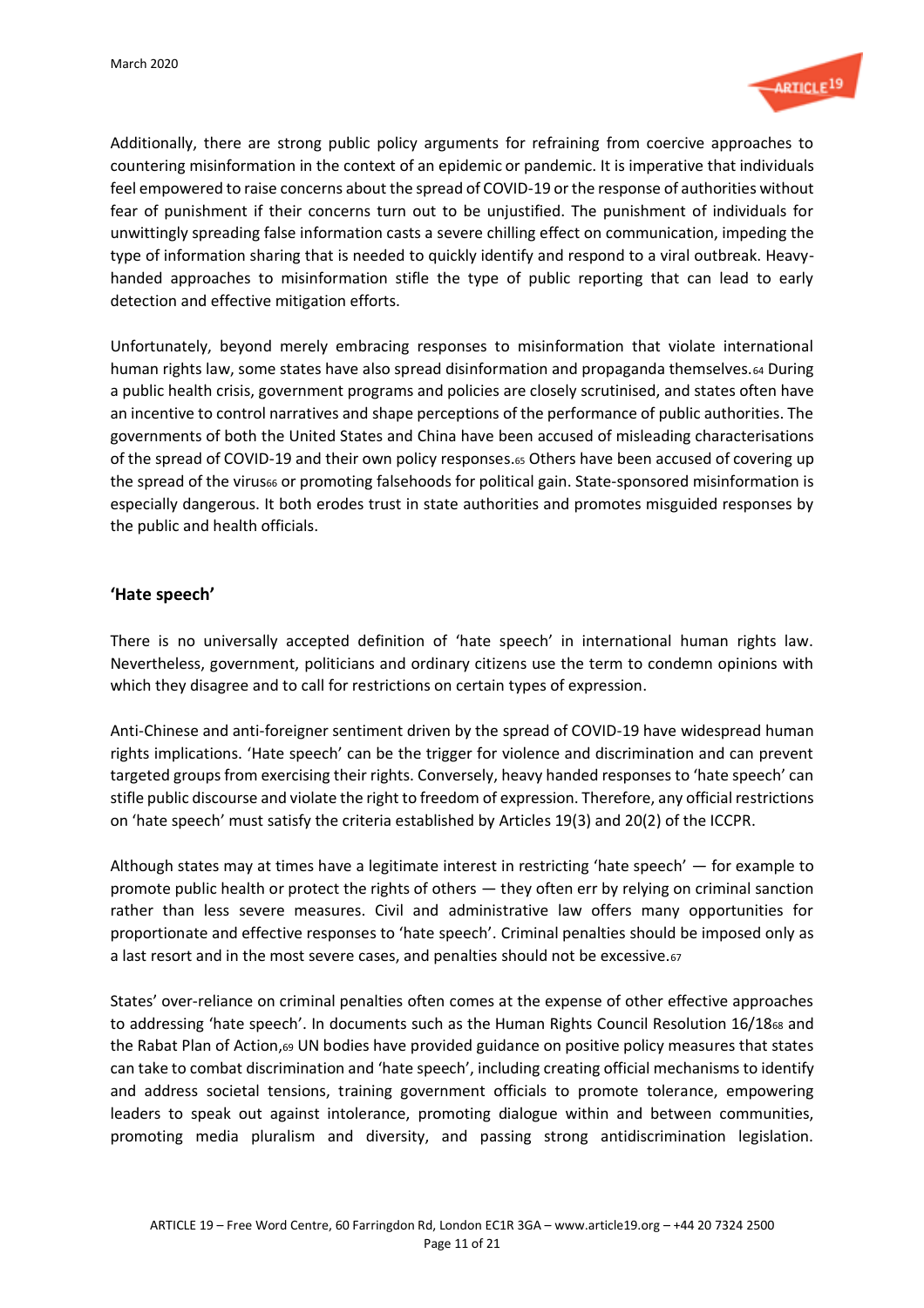

Additionally, there are strong public policy arguments for refraining from coercive approaches to countering misinformation in the context of an epidemic or pandemic. It is imperative that individuals feel empowered to raise concerns about the spread of COVID-19 or the response of authorities without fear of punishment if their concerns turn out to be unjustified. The punishment of individuals for unwittingly spreading false information casts a severe chilling effect on communication, impeding the type of information sharing that is needed to quickly identify and respond to a viral outbreak. Heavyhanded approaches to misinformation stifle the type of public reporting that can lead to early detection and effective mitigation efforts.

Unfortunately, beyond merely embracing responses to misinformation that violate international human rights law, some states have also spread disinformation and propaganda themselves.<sup>64</sup> During a public health crisis, government programs and policies are closely scrutinised, and states often have an incentive to control narratives and shape perceptions of the performance of public authorities. The governments of both the United States and China have been accused of misleading characterisations of the spread of COVID-19 and their own policy responses.<sup>65</sup> Others have been accused of covering up the spread of the virus66 or promoting falsehoods for political gain. State-sponsored misinformation is especially dangerous. It both erodes trust in state authorities and promotes misguided responses by the public and health officials.

#### <span id="page-10-0"></span>**'Hate speech'**

There is no universally accepted definition of 'hate speech' in international human rights law. Nevertheless, government, politicians and ordinary citizens use the term to condemn opinions with which they disagree and to call for restrictions on certain types of expression.

Anti-Chinese and anti-foreigner sentiment driven by the spread of COVID-19 have widespread human rights implications. 'Hate speech' can be the trigger for violence and discrimination and can prevent targeted groups from exercising their rights. Conversely, heavy handed responses to 'hate speech' can stifle public discourse and violate the right to freedom of expression. Therefore, any official restrictions on 'hate speech' must satisfy the criteria established by Articles 19(3) and 20(2) of the ICCPR.

Although states may at times have a legitimate interest in restricting 'hate speech'  $-$  for example to promote public health or protect the rights of others — they often err by relying on criminal sanction rather than less severe measures. Civil and administrative law offers many opportunities for proportionate and effective responses to 'hate speech'. Criminal penalties should be imposed only as a last resort and in the most severe cases, and penalties should not be excessive.<sup>67</sup>

States' over-reliance on criminal penalties often comes at the expense of other effective approaches to addressing 'hate speech'. In documents such as the Human Rights Council Resolution 16/18<sup>68</sup> and the Rabat Plan of Action,69 UN bodies have provided guidance on positive policy measures that states can take to combat discrimination and 'hate speech', including creating official mechanisms to identify and address societal tensions, training government officials to promote tolerance, empowering leaders to speak out against intolerance, promoting dialogue within and between communities, promoting media pluralism and diversity, and passing strong antidiscrimination legislation.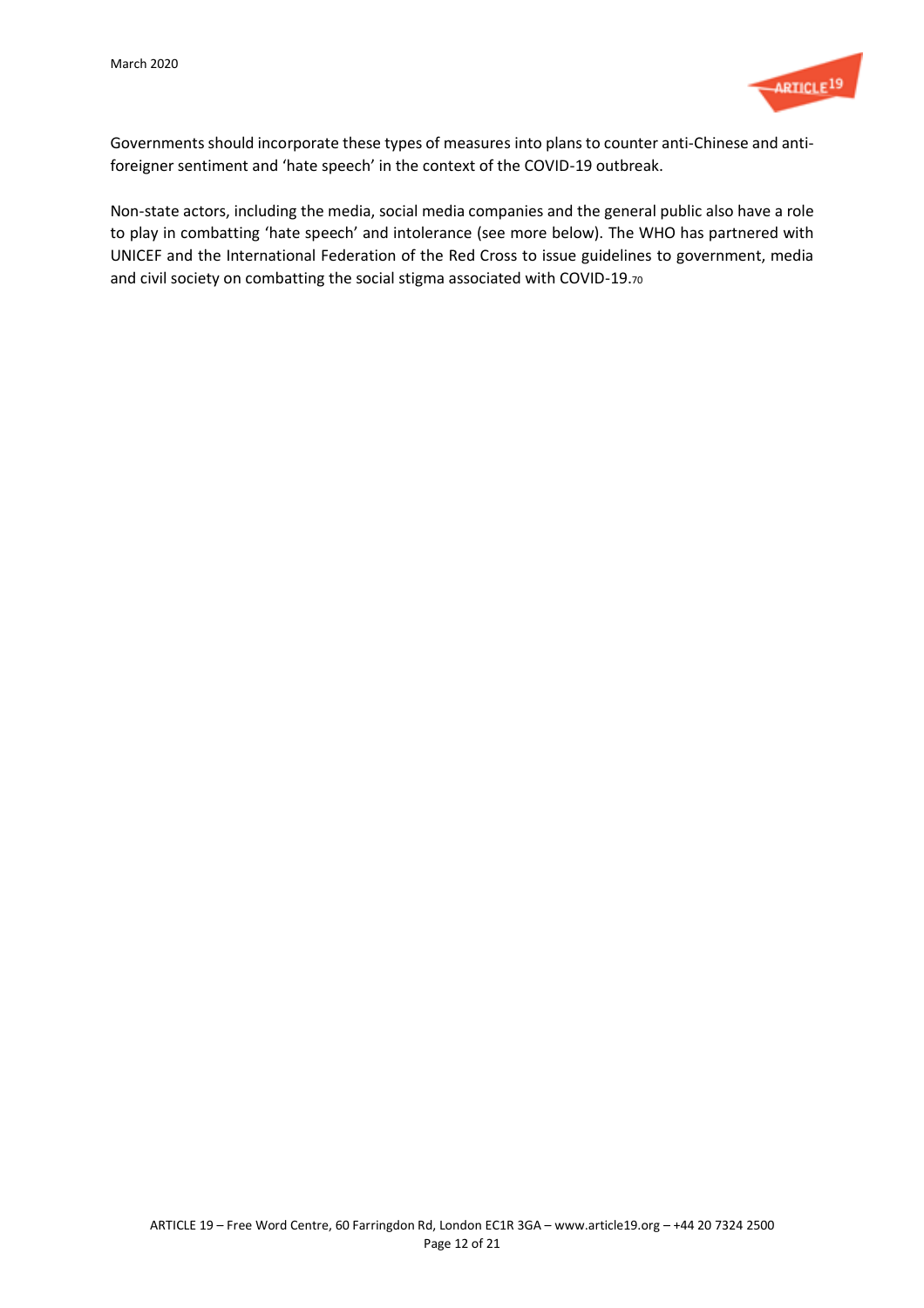

Governments should incorporate these types of measures into plans to counter anti-Chinese and antiforeigner sentiment and 'hate speech' in the context of the COVID-19 outbreak.

Non-state actors, including the media, social media companies and the general public also have a role to play in combatting 'hate speech' and intolerance (see more below). The WHO has partnered with UNICEF and the International Federation of the Red Cross to issue guidelines to government, media and civil society on combatting the social stigma associated with COVID-19.70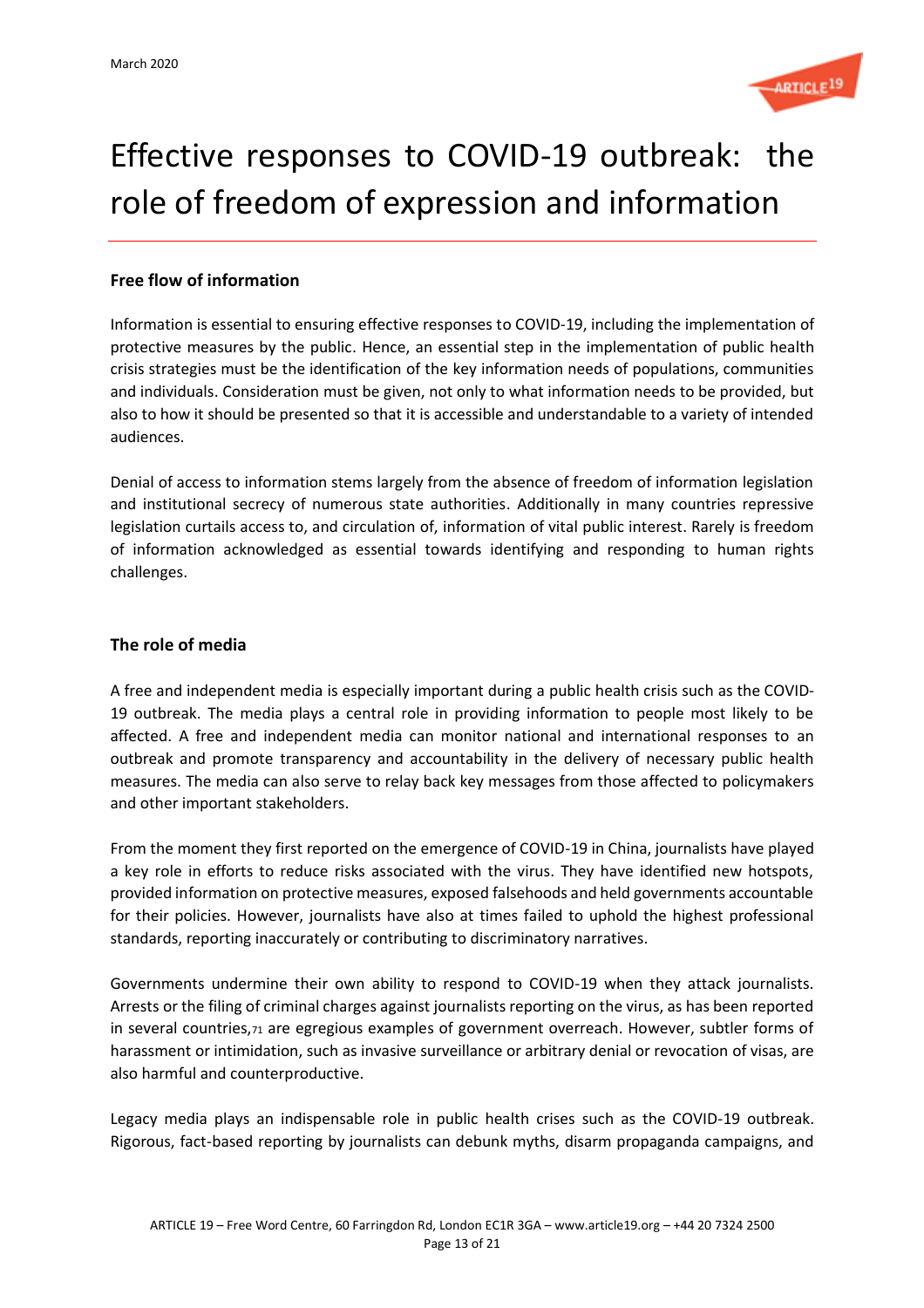

# <span id="page-12-0"></span>Effective responses to COVID-19 outbreak: the role of freedom of expression and information

#### <span id="page-12-1"></span>**Free flow of information**

Information is essential to ensuring effective responses to COVID-19, including the implementation of protective measures by the public. Hence, an essential step in the implementation of public health crisis strategies must be the identification of the key information needs of populations, communities and individuals. Consideration must be given, not only to what information needs to be provided, but also to how it should be presented so that it is accessible and understandable to a variety of intended audiences.

Denial of access to information stems largely from the absence of freedom of information legislation and institutional secrecy of numerous state authorities. Additionally in many countries repressive legislation curtails access to, and circulation of, information of vital public interest. Rarely is freedom of information acknowledged as essential towards identifying and responding to human rights challenges.

#### <span id="page-12-2"></span>**The role of media**

A free and independent media is especially important during a public health crisis such as the COVID-19 outbreak. The media plays a central role in providing information to people most likely to be affected. A free and independent media can monitor national and international responses to an outbreak and promote transparency and accountability in the delivery of necessary public health measures. The media can also serve to relay back key messages from those affected to policymakers and other important stakeholders.

From the moment they first reported on the emergence of COVID-19 in China, journalists have played a key role in efforts to reduce risks associated with the virus. They have identified new hotspots, provided information on protective measures, exposed falsehoods and held governments accountable for their policies. However, journalists have also at times failed to uphold the highest professional standards, reporting inaccurately or contributing to discriminatory narratives.

Governments undermine their own ability to respond to COVID-19 when they attack journalists. Arrests or the filing of criminal charges against journalists reporting on the virus, as has been reported in several countries,<sup>71</sup> are egregious examples of government overreach. However, subtler forms of harassment or intimidation, such as invasive surveillance or arbitrary denial or revocation of visas, are also harmful and counterproductive.

Legacy media plays an indispensable role in public health crises such as the COVID-19 outbreak. Rigorous, fact-based reporting by journalists can debunk myths, disarm propaganda campaigns, and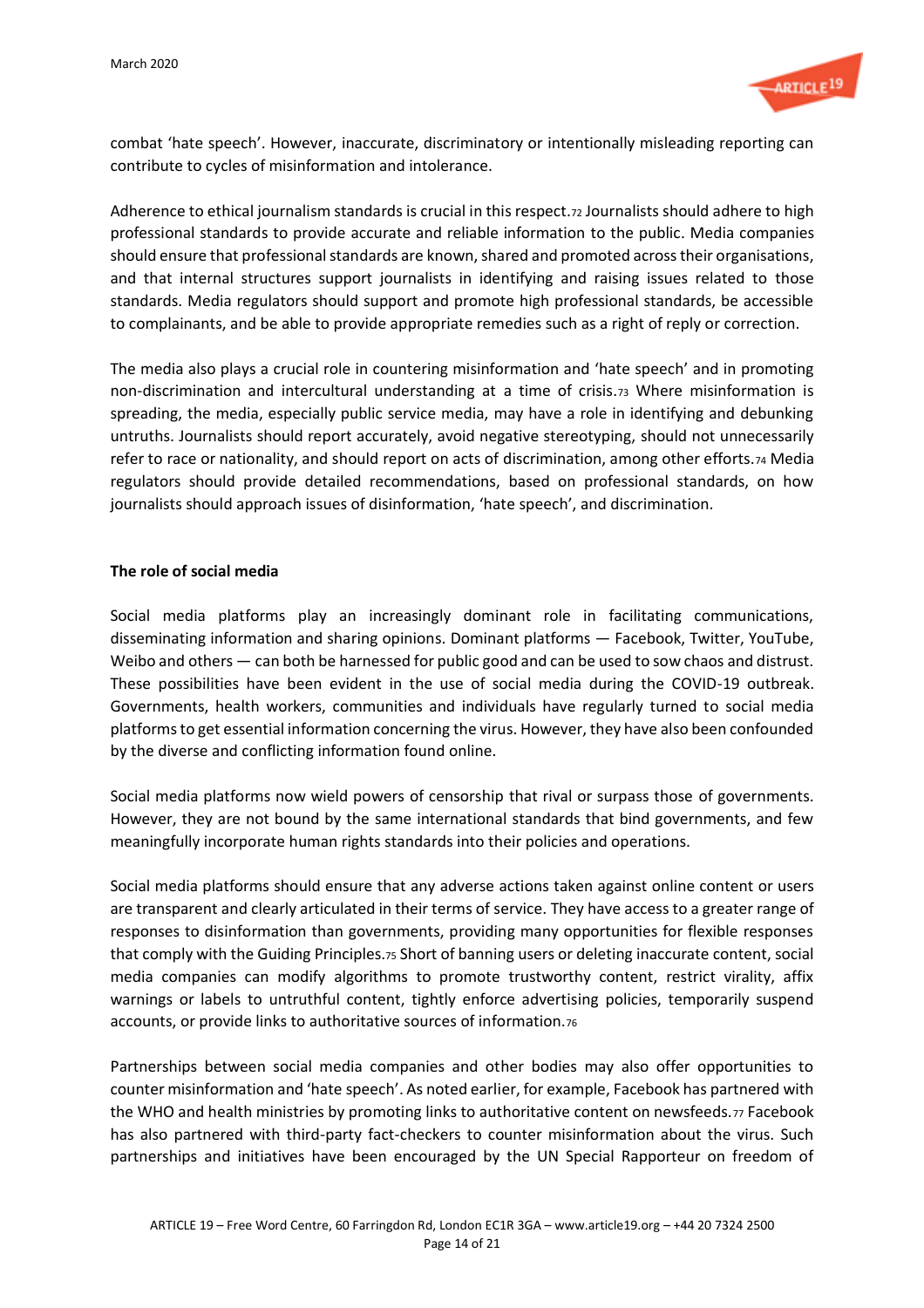

combat 'hate speech'. However, inaccurate, discriminatory or intentionally misleading reporting can contribute to cycles of misinformation and intolerance.

Adherence to ethical journalism standards is crucial in this respect.72 Journalists should adhere to high professional standards to provide accurate and reliable information to the public. Media companies should ensure that professional standards are known, shared and promoted across their organisations, and that internal structures support journalists in identifying and raising issues related to those standards. Media regulators should support and promote high professional standards, be accessible to complainants, and be able to provide appropriate remedies such as a right of reply or correction.

The media also plays a crucial role in countering misinformation and 'hate speech' and in promoting non-discrimination and intercultural understanding at a time of crisis.<sup>73</sup> Where misinformation is spreading, the media, especially public service media, may have a role in identifying and debunking untruths. Journalists should report accurately, avoid negative stereotyping, should not unnecessarily refer to race or nationality, and should report on acts of discrimination, among other efforts.<sup>74</sup> Media regulators should provide detailed recommendations, based on professional standards, on how journalists should approach issues of disinformation, 'hate speech', and discrimination.

#### **The role of social media**

Social media platforms play an increasingly dominant role in facilitating communications, disseminating information and sharing opinions. Dominant platforms — Facebook, Twitter, YouTube, Weibo and others — can both be harnessed for public good and can be used to sow chaos and distrust. These possibilities have been evident in the use of social media during the COVID-19 outbreak. Governments, health workers, communities and individuals have regularly turned to social media platforms to get essential information concerning the virus. However, they have also been confounded by the diverse and conflicting information found online.

Social media platforms now wield powers of censorship that rival or surpass those of governments. However, they are not bound by the same international standards that bind governments, and few meaningfully incorporate human rights standards into their policies and operations.

Social media platforms should ensure that any adverse actions taken against online content or users are transparent and clearly articulated in their terms of service. They have access to a greater range of responses to disinformation than governments, providing many opportunities for flexible responses that comply with the Guiding Principles.<sup>75</sup> Short of banning users or deleting inaccurate content, social media companies can modify algorithms to promote trustworthy content, restrict virality, affix warnings or labels to untruthful content, tightly enforce advertising policies, temporarily suspend accounts, or provide links to authoritative sources of information.<sup>76</sup>

Partnerships between social media companies and other bodies may also offer opportunities to counter misinformation and 'hate speech'. As noted earlier, for example, Facebook has partnered with the WHO and health ministries by promoting links to authoritative content on newsfeeds.77 Facebook has also partnered with third-party fact-checkers to counter misinformation about the virus. Such partnerships and initiatives have been encouraged by the UN Special Rapporteur on freedom of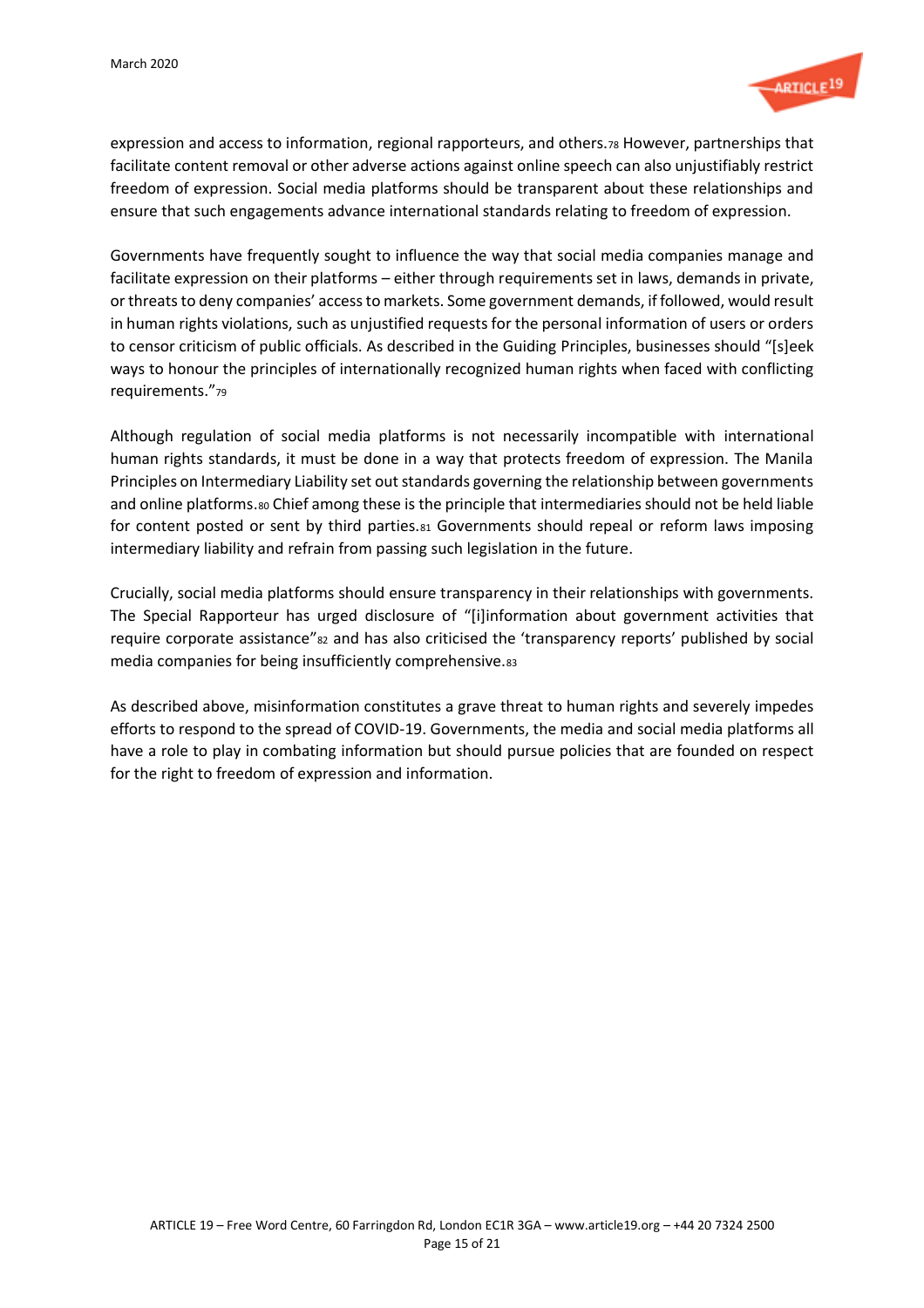

expression and access to information, regional rapporteurs, and others.<sup>78</sup> However, partnerships that facilitate content removal or other adverse actions against online speech can also unjustifiably restrict freedom of expression. Social media platforms should be transparent about these relationships and ensure that such engagements advance international standards relating to freedom of expression.

Governments have frequently sought to influence the way that social media companies manage and facilitate expression on their platforms – either through requirements set in laws, demands in private, orthreats to deny companies' access to markets. Some government demands, if followed, would result in human rights violations, such as unjustified requests for the personal information of users or orders to censor criticism of public officials. As described in the Guiding Principles, businesses should "[s]eek ways to honour the principles of internationally recognized human rights when faced with conflicting requirements."<sup>79</sup>

Although regulation of social media platforms is not necessarily incompatible with international human rights standards, it must be done in a way that protects freedom of expression. The Manila Principles on Intermediary Liability set out standards governing the relationship between governments and online platforms.80 Chief among these is the principle that intermediaries should not be held liable for content posted or sent by third parties.<sup>81</sup> Governments should repeal or reform laws imposing intermediary liability and refrain from passing such legislation in the future.

Crucially, social media platforms should ensure transparency in their relationships with governments. The Special Rapporteur has urged disclosure of "[i]information about government activities that require corporate assistance"<sup>82</sup> and has also criticised the 'transparency reports' published by social media companies for being insufficiently comprehensive.<sup>83</sup>

As described above, misinformation constitutes a grave threat to human rights and severely impedes efforts to respond to the spread of COVID-19. Governments, the media and social media platforms all have a role to play in combating information but should pursue policies that are founded on respect for the right to freedom of expression and information.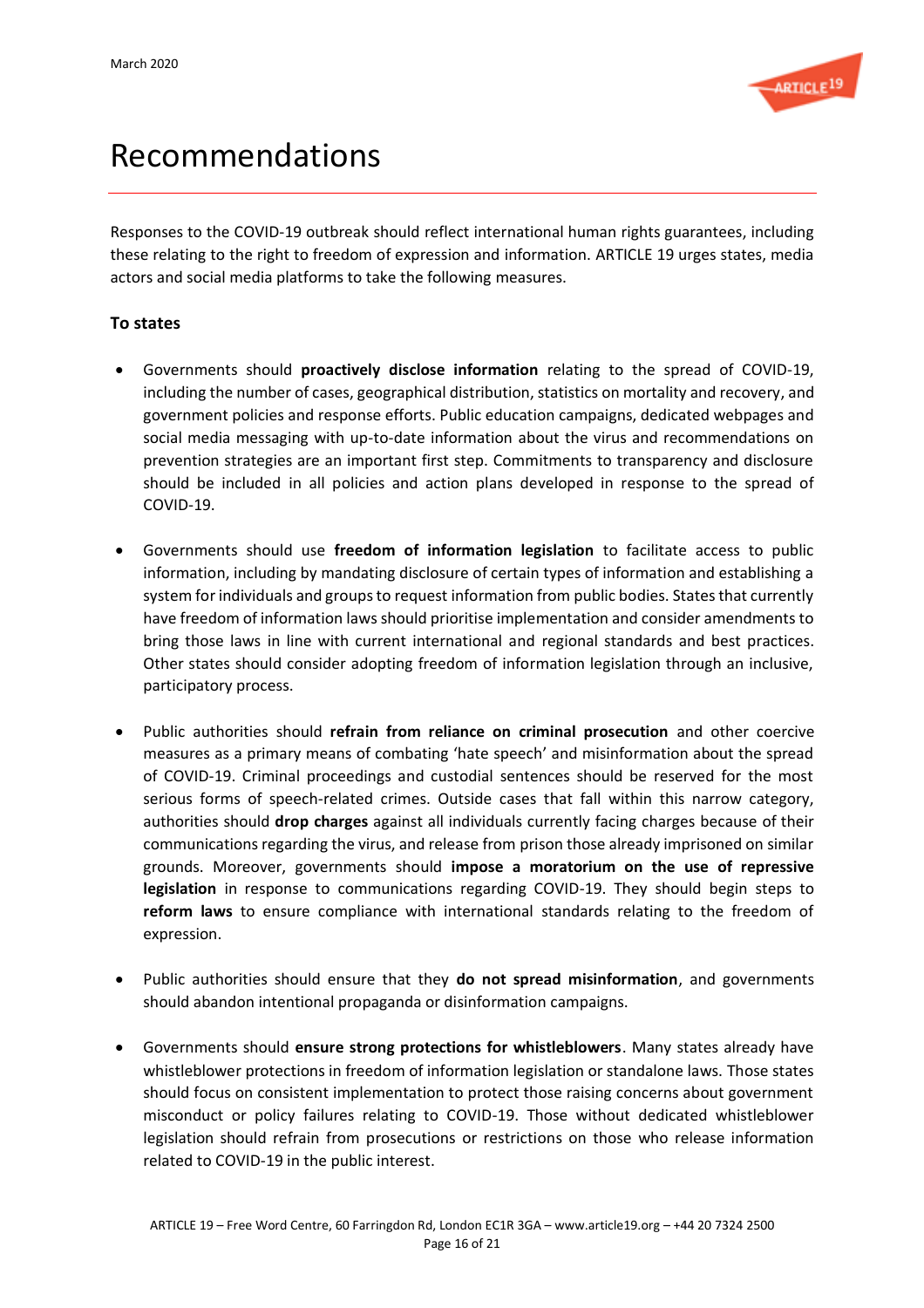

### <span id="page-15-0"></span>Recommendations

Responses to the COVID-19 outbreak should reflect international human rights guarantees, including these relating to the right to freedom of expression and information. ARTICLE 19 urges states, media actors and social media platforms to take the following measures.

#### <span id="page-15-1"></span>**To states**

- Governments should **proactively disclose information** relating to the spread of COVID-19, including the number of cases, geographical distribution, statistics on mortality and recovery, and government policies and response efforts. Public education campaigns, dedicated webpages and social media messaging with up-to-date information about the virus and recommendations on prevention strategies are an important first step. Commitments to transparency and disclosure should be included in all policies and action plans developed in response to the spread of COVID-19.
- Governments should use **freedom of information legislation** to facilitate access to public information, including by mandating disclosure of certain types of information and establishing a system for individuals and groups to request information from public bodies. States that currently have freedom of information laws should prioritise implementation and consider amendments to bring those laws in line with current international and regional standards and best practices. Other states should consider adopting freedom of information legislation through an inclusive, participatory process.
- Public authorities should **refrain from reliance on criminal prosecution** and other coercive measures as a primary means of combating 'hate speech' and misinformation about the spread of COVID-19. Criminal proceedings and custodial sentences should be reserved for the most serious forms of speech-related crimes. Outside cases that fall within this narrow category, authorities should **drop charges** against all individuals currently facing charges because of their communications regarding the virus, and release from prison those already imprisoned on similar grounds. Moreover, governments should **impose a moratorium on the use of repressive legislation** in response to communications regarding COVID-19. They should begin steps to **reform laws** to ensure compliance with international standards relating to the freedom of expression.
- Public authorities should ensure that they **do not spread misinformation**, and governments should abandon intentional propaganda or disinformation campaigns.
- Governments should **ensure strong protections for whistleblowers**. Many states already have whistleblower protections in freedom of information legislation or standalone laws. Those states should focus on consistent implementation to protect those raising concerns about government misconduct or policy failures relating to COVID-19. Those without dedicated whistleblower legislation should refrain from prosecutions or restrictions on those who release information related to COVID-19 in the public interest.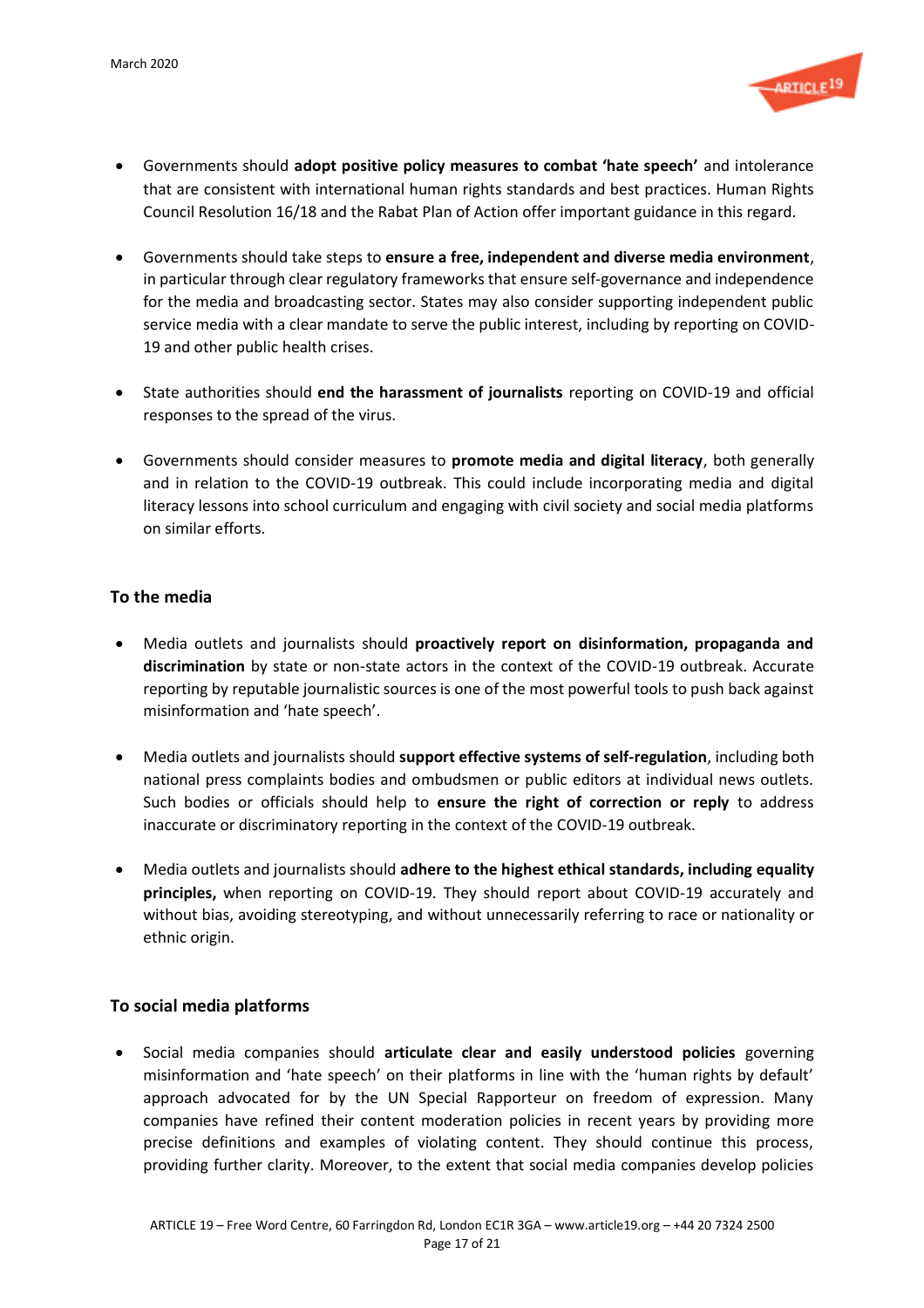

- Governments should **adopt positive policy measures to combat 'hate speech'** and intolerance that are consistent with international human rights standards and best practices. Human Rights Council Resolution 16/18 and the Rabat Plan of Action offer important guidance in this regard.
- Governments should take steps to **ensure a free, independent and diverse media environment**, in particular through clear regulatory frameworks that ensure self-governance and independence for the media and broadcasting sector. States may also consider supporting independent public service media with a clear mandate to serve the public interest, including by reporting on COVID-19 and other public health crises.
- State authorities should **end the harassment of journalists** reporting on COVID-19 and official responses to the spread of the virus.
- Governments should consider measures to **promote media and digital literacy**, both generally and in relation to the COVID-19 outbreak. This could include incorporating media and digital literacy lessons into school curriculum and engaging with civil society and social media platforms on similar efforts.

#### <span id="page-16-0"></span>**To the media**

- Media outlets and journalists should **proactively report on disinformation, propaganda and discrimination** by state or non-state actors in the context of the COVID-19 outbreak. Accurate reporting by reputable journalistic sources is one of the most powerful tools to push back against misinformation and 'hate speech'.
- Media outlets and journalists should **support effective systems of self-regulation**, including both national press complaints bodies and ombudsmen or public editors at individual news outlets. Such bodies or officials should help to **ensure the right of correction or reply** to address inaccurate or discriminatory reporting in the context of the COVID-19 outbreak.
- Media outlets and journalists should **adhere to the highest ethical standards, including equality principles,** when reporting on COVID-19. They should report about COVID-19 accurately and without bias, avoiding stereotyping, and without unnecessarily referring to race or nationality or ethnic origin.

#### <span id="page-16-1"></span>**To social media platforms**

• Social media companies should **articulate clear and easily understood policies** governing misinformation and 'hate speech' on their platforms in line with the 'human rights by default' approach advocated for by the UN Special Rapporteur on freedom of expression. Many companies have refined their content moderation policies in recent years by providing more precise definitions and examples of violating content. They should continue this process, providing further clarity. Moreover, to the extent that social media companies develop policies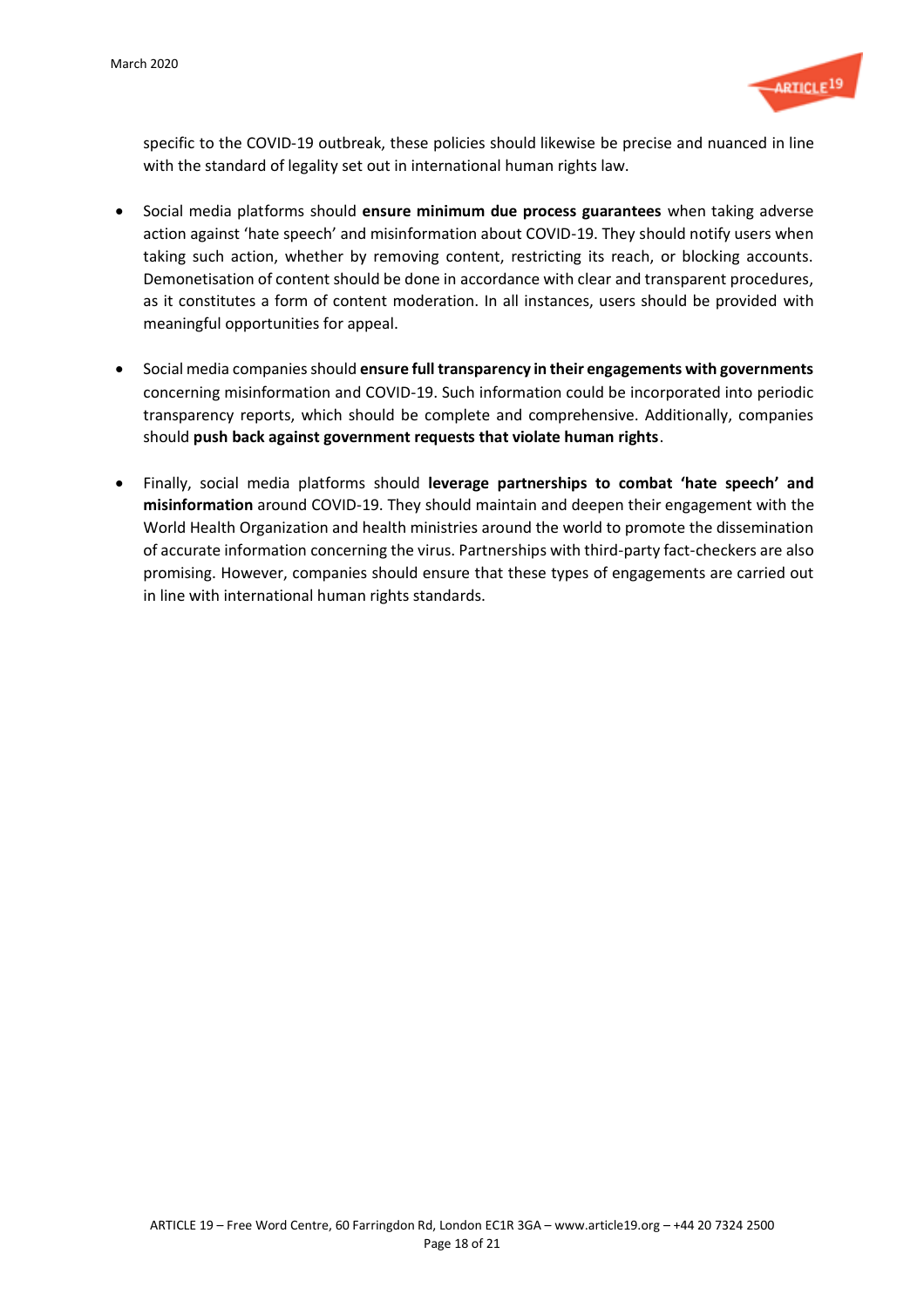

specific to the COVID-19 outbreak, these policies should likewise be precise and nuanced in line with the standard of legality set out in international human rights law.

- Social media platforms should **ensure minimum due process guarantees** when taking adverse action against 'hate speech' and misinformation about COVID-19. They should notify users when taking such action, whether by removing content, restricting its reach, or blocking accounts. Demonetisation of content should be done in accordance with clear and transparent procedures, as it constitutes a form of content moderation. In all instances, users should be provided with meaningful opportunities for appeal.
- Social media companies should **ensure full transparency in their engagements with governments** concerning misinformation and COVID-19. Such information could be incorporated into periodic transparency reports, which should be complete and comprehensive. Additionally, companies should **push back against government requests that violate human rights**.
- Finally, social media platforms should **leverage partnerships to combat 'hate speech' and misinformation** around COVID-19. They should maintain and deepen their engagement with the World Health Organization and health ministries around the world to promote the dissemination of accurate information concerning the virus. Partnerships with third-party fact-checkers are also promising. However, companies should ensure that these types of engagements are carried out in line with international human rights standards.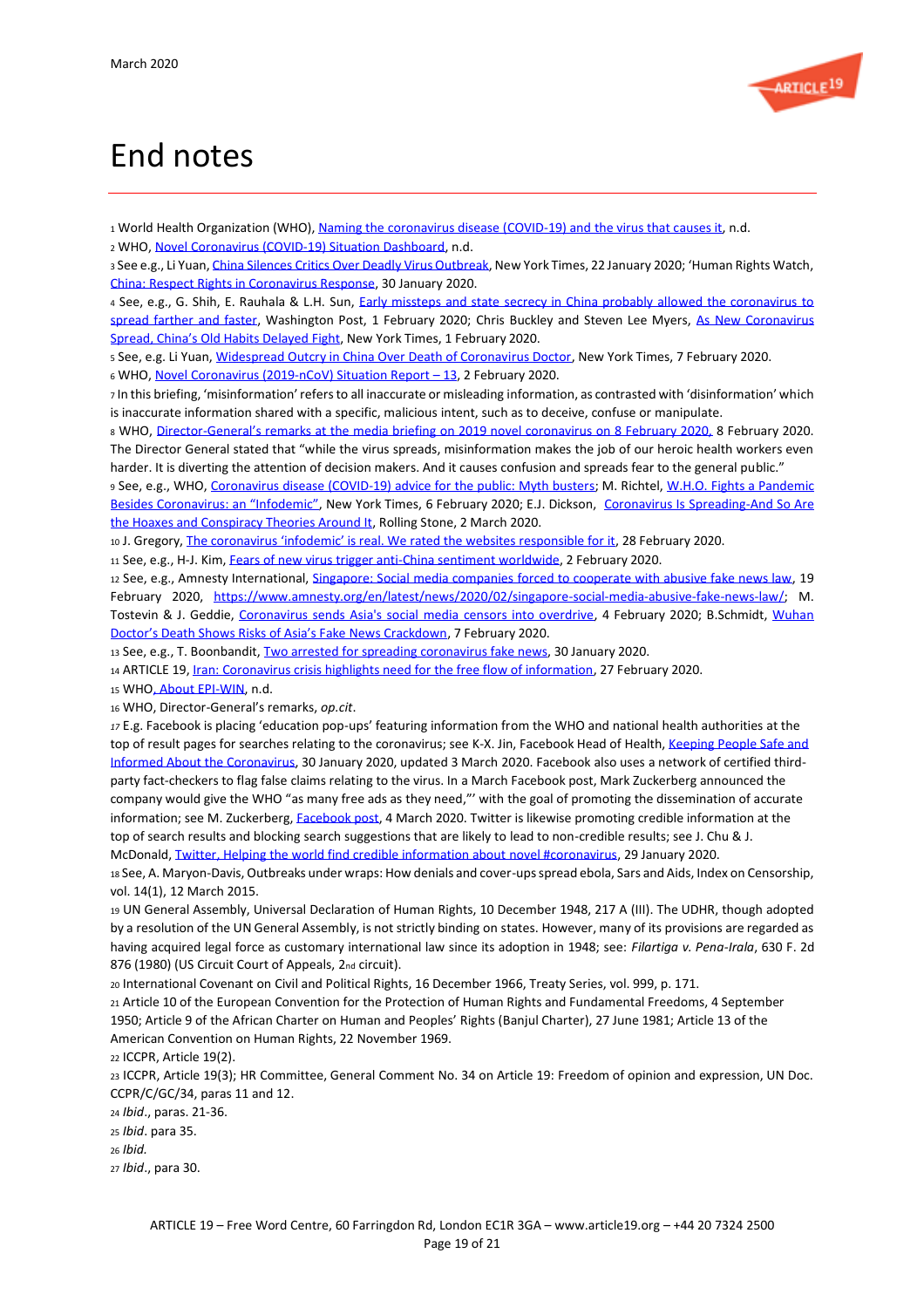

### <span id="page-18-0"></span>End notes

- <sup>1</sup> World Health Organization (WHO), [Naming the coronavirus disease \(COVID-19\) and the virus that causes it,](https://www.who.int/emergencies/diseases/novel-coronavirus-2019/technical-guidance/naming-the-coronavirus-disease-(covid-2019)-and-the-virus-that-causes-it) n.d. <sup>2</sup> WHO, [Novel Coronavirus \(COVID-19\) Situation Dashboard,](https://www.who.int/redirect-pages/page/novel-coronavirus-(covid-19)-situation-dashboard) n.d.
- 3 See e.g., Li Yuan[, China Silences Critics Over Deadly Virus Outbreak](https://www.nytimes.com/2020/01/22/health/virus-corona.html), New York Times, 22 January 2020; 'Human Rights Watch, [China: Respect Rights in Coronavirus Response,](https://www.hrw.org/news/2020/01/30/china-respect-rights-coronavirus-response) 30 January 2020.
- <sup>4</sup> See, e.g., G. Shih, E. Rauhala & L.H. Sun, [Early missteps and state secrecy in China probably allowed the coronavirus to](https://www.washingtonpost.com/world/2020/02/01/early-missteps-state-secrecy-china-likely-allowed-coronavirus-spread-farther-faster)  [spread farther and faster,](https://www.washingtonpost.com/world/2020/02/01/early-missteps-state-secrecy-china-likely-allowed-coronavirus-spread-farther-faster) Washington Post, 1 February 2020; Chris Buckley and Steven Lee Myers, As New Coronavirus [Spread, China's Old Habits Delay](https://www.nytimes.com/2020/02/01/world/asia/china-coronavirus.html)ed Fight, New York Times, 1 February 2020.
- <sup>5</sup> See, e.g. Li Yuan, [Widespread Outcry in China Over Death of Coronavirus Doctor,](https://www.nytimes.com/2020/02/07/business/china-coronavirus-doctor-death.html) New York Times, 7 February 2020.

<sup>6</sup> WHO, [Novel Coronavirus \(2019-nCoV\) Situation Report](https://www.who.int/docs/default-source/coronaviruse/situation-reports/20200202-sitrep-13-ncov-v3.pdf) – 13, 2 February 2020.

<sup>7</sup> In this briefing, 'misinformation' refers to all inaccurate or misleading information, as contrasted with 'disinformation' which is inaccurate information shared with a specific, malicious intent, such as to deceive, confuse or manipulate.

8 WHO, Director-[General's remarks at the media briefing on 2019 novel coronavirus on 8 February 2020,](https://www.who.int/dg/speeches/detail/director-general-s-remarks-at-the-media-briefing-on-2019-novel-coronavirus---8-february-202) 8 February 2020. The Director General stated that "while the virus spreads, misinformation makes the job of our heroic health workers even harder. It is diverting the attention of decision makers. And it causes confusion and spreads fear to the general public."

9 See, e.g., WHO[, Coronavirus disease \(COVID-19\) advice for the public: Myth busters;](https://www.who.int/emergencies/diseases/novel-coronavirus-2019/advice-for-public/myth-busters) M. Richtel, W.H.O. Fights a Pandemic [Besides Coronavirus: an "Infodemic"](https://www.nytimes.com/2020/02/06/health/coronavirus-misinformation-social-media.html), New York Times, 6 February 2020; E.J. Dickson, [Coronavirus Is Spreading-And So Are](https://www.rollingstone.com/culture/culture-news/coronavirus-china-bat-patent-conspiracy-theory-942416/)  [the Hoaxes and Conspiracy Theories Around It,](https://www.rollingstone.com/culture/culture-news/coronavirus-china-bat-patent-conspiracy-theory-942416/) Rolling Stone, 2 March 2020.

<sup>10</sup> J. Gregory, [The coronavirus 'infodemic' is real. We rated the websites responsible for it](https://www.statnews.com/2020/02/28/websites-spreading-coronavirus-misinformation-infodemic/), 28 February 2020.

<sup>11</sup> See, e.g., H-J. Kim[, Fears of new virus trigger anti-China sentiment worldwide,](https://apnews.com/04f18aafe1074a1c06b4203edcbdc661) 2 February 2020.

<sup>12</sup> See, e.g., Amnesty International, [Singapore: Social media companies forced to cooperate with abusive fake news law,](https://www.amnesty.org/en/latest/news/2020/02/singapore-social-media-abusive-fake-news-law/) 19 February 2020, [https://www.amnesty.org/en/latest/news/2020/02/singapore-social-media-abusive-fake-news-law/;](https://www.amnesty.org/en/latest/news/2020/02/singapore-social-media-abusive-fake-news-law/) M. Tostevin & J. Geddie, [Coronavirus sends Asia's social media censors into overdrive,](https://www.reuters.com/article/us-china-health-fakenews/coronavirus-sends-asias-social-media-censors-into-overdrive-idUSKBN1ZY1AC) 4 February 2020; B.Schmidt, Wuhan [Doctor's Death Shows Risks of Asia's Fake News Crackdown](https://www.bloomberg.com/news/articles/2020-02-06/fake-news-arrests-jump-across-asia-to-stem-virus-infodemic), 7 February 2020.

13 See, e.g., T. Boonbandit, *Two arrested for spreading coronavirus fake news*, 30 January 2020.

<sup>14</sup> ARTICLE 19[, Iran: Coronavirus crisis highlights need for the free flow of information,](https://www.article19.org/resources/iran-coronavirus-crisis-highlights-need-for-the-free-flow-of-information/) 27 February 2020.

<sup>15</sup> WH[O, About EPI-WIN,](https://www.epi-win.com/about-epi-win) n.d.

<sup>16</sup> WHO, Director-General's remarks, *op.cit*.

*<sup>17</sup>* E.g. Facebook is placing 'education pop-ups' featuring information from the WHO and national health authorities at the top of result pages for searches relating to the coronavirus; see K-X. Jin, Facebook Head of Health, Keeping People Safe and [Informed About the Coronavirus,](https://about.fb.com/news/2020/01/coronavirus/) 30 January 2020, updated 3 March 2020. Facebook also uses a network of certified thirdparty fact-checkers to flag false claims relating to the virus. In a March Facebook post, Mark Zuckerberg announced the company would give the WHO "as many free ads as they need,"' with the goal of promoting the dissemination of accurate information; see M. Zuckerberg[, Facebook post,](https://www.facebook.com/4/posts/10111615249124441/) 4 March 2020. Twitter is likewise promoting credible information at the top of search results and blocking search suggestions that are likely to lead to non-credible results; see J. Chu & J. McDonald, [Twitter, Helping the world find credible information about novel #coronavirus,](https://blog.twitter.com/en_us/topics/company/2020/authoritative-information-about-novel-coronavirus.html) 29 January 2020.

<sup>18</sup> See, A. Maryon-Davis, Outbreaks under wraps: How denials and cover-ups spread ebola, Sars and Aids, Index on Censorship, vol. 14(1), 12 March 2015.

<sup>19</sup> UN General Assembly, Universal Declaration of Human Rights, 10 December 1948, 217 A (III). The UDHR, though adopted by a resolution of the UN General Assembly, is not strictly binding on states. However, many of its provisions are regarded as having acquired legal force as customary international law since its adoption in 1948; see: *Filartiga v. Pena-Irala*, 630 F. 2d 876 (1980) (US Circuit Court of Appeals, 2nd circuit).

<sup>20</sup> International Covenant on Civil and Political Rights, 16 December 1966, Treaty Series, vol. 999, p. 171.

<sup>21</sup> Article 10 of the European Convention for the Protection of Human Rights and Fundamental Freedoms, 4 September 1950; Article 9 of the African Charter on Human and Peoples' Rights (Banjul Charter), 27 June 1981; Article 13 of the American Convention on Human Rights, 22 November 1969.

<sup>22</sup> ICCPR, Article 19(2).

<sup>23</sup> ICCPR, Article 19(3); HR Committee, General Comment No. 34 on Article 19: Freedom of opinion and expression, UN Doc. CCPR/C/GC/34, paras 11 and 12.

<sup>24</sup> *Ibid*., paras. 21-36.

<sup>25</sup> *Ibid*. para 35.

<sup>26</sup> *Ibid.* 

<sup>27</sup> *Ibid*., para 30.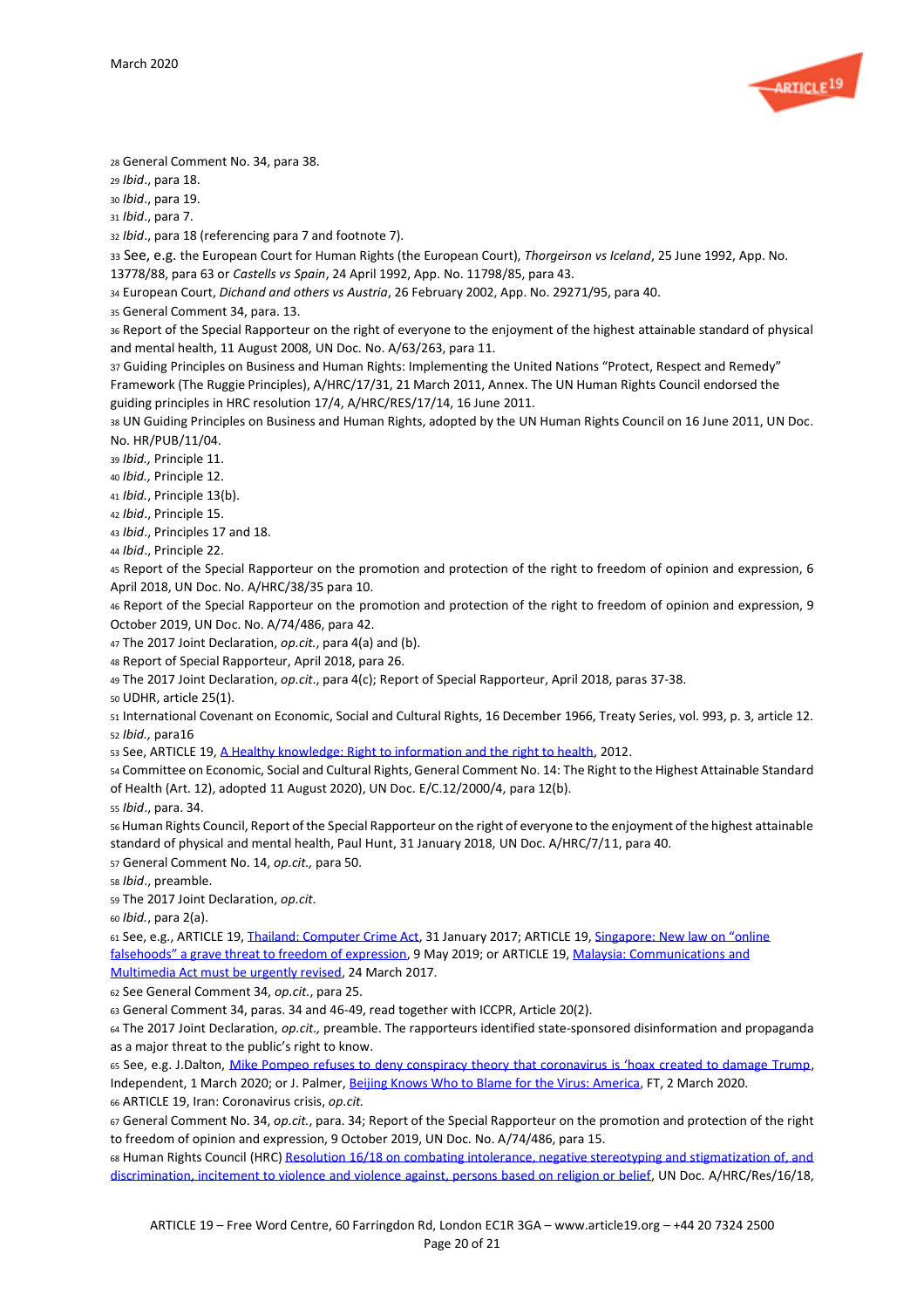

General Comment No. 34, para 38.

*Ibid*., para 18.

*Ibid*., para 19.

*Ibid*., para 7.

*Ibid*., para 18 (referencing para 7 and footnote 7).

 See, e.g. the European Court for Human Rights (the European Court), *Thorgeirson vs Iceland*, 25 June 1992, App. No. 13778/88, para 63 or *Castells vs Spain*, 24 April 1992, App. No. 11798/85, para 43.

European Court, *Dichand and others vs Austria*, 26 February 2002, App. No. 29271/95, para 40.

General Comment 34, para. 13.

 Report of the Special Rapporteur on the right of everyone to the enjoyment of the highest attainable standard of physical and mental health, 11 August 2008, UN Doc. No. A/63/263, para 11.

 Guiding Principles on Business and Human Rights: Implementing the United Nations "Protect, Respect and Remedy" Framework (The Ruggie Principles), A/HRC/17/31, 21 March 2011, Annex. The UN Human Rights Council endorsed the guiding principles in HRC resolution 17/4, A/HRC/RES/17/14, 16 June 2011.

 UN Guiding Principles on Business and Human Rights, adopted by the UN Human Rights Council on 16 June 2011, UN Doc. No. HR/PUB/11/04.

*Ibid.,* Principle 11.

*Ibid.,* Principle 12.

*Ibid.*, Principle 13(b).

*Ibid*., Principle 15.

*Ibid*., Principles 17 and 18.

*Ibid*., Principle 22.

 Report of the Special Rapporteur on the promotion and protection of the right to freedom of opinion and expression, 6 April 2018, UN Doc. No. A/HRC/38/35 para 10.

 Report of the Special Rapporteur on the promotion and protection of the right to freedom of opinion and expression, 9 October 2019, UN Doc. No. A/74/486, para 42.

The 2017 Joint Declaration, *op.cit.*, para 4(a) and (b).

Report of Special Rapporteur, April 2018, para 26.

The 2017 Joint Declaration, *op.cit*., para 4(c); Report of Special Rapporteur, April 2018, paras 37-38.

UDHR, article 25(1).

 International Covenant on Economic, Social and Cultural Rights, 16 December 1966, Treaty Series, vol. 993, p. 3, article 12. *Ibid.,* para16

53 See, ARTICLE 19[, A Healthy knowledge: Right to information and the right to health,](https://www.article19.org/resources/healthy-knowledge-right-information-right-health/) 2012.

 Committee on Economic, Social and Cultural Rights, General Comment No. 14: The Right to the Highest Attainable Standard of Health (Art. 12), adopted 11 August 2020), UN Doc. E/C.12/2000/4, para 12(b).

*Ibid*., para. 34.

 Human Rights Council, Report of the Special Rapporteur on the right of everyone to the enjoyment of the highest attainable standard of physical and mental health, Paul Hunt, 31 January 2018, UN Doc. A/HRC/7/11, para 40.

General Comment No. 14, *op.cit.,* para 50.

*Ibid*., preamble.

The 2017 Joint Declaration, *op.cit*.

*Ibid.*, para 2(a).

 See, e.g., ARTICLE 19[, Thailand: Computer Crime Act,](https://www.article19.org/resources/thailand-computer-crime-act/) 31 January 2017; ARTICLE 19, [Singapore: New law on "online](https://www.article19.org/resources/singapore-new-law-on-online-falsehoods-a-grave-threat-to-freedom-of-expression/)  [falsehoods" a grave threat to freedom of expression](https://www.article19.org/resources/singapore-new-law-on-online-falsehoods-a-grave-threat-to-freedom-of-expression/), 9 May 2019; or ARTICLE 19, Malaysia: Communications and [Multimedia Act must be urgently revised,](https://www.article19.org/resources/malaysia-communications-and-multimedia-act-must-be-urgently-revised/) 24 March 2017.

See General Comment 34, *op.cit.*, para 25.

General Comment 34, paras. 34 and 46-49, read together with ICCPR, Article 20(2).

 The 2017 Joint Declaration, *op.cit.,* preamble. The rapporteurs identified state-sponsored disinformation and propaganda as a major threat to the public's right to know.

 See, e.g. J.Dalton, [Mike Pompeo refuses to deny conspiracy theory that coronavirus is 'hoax created to damage Trump](https://www.independent.co.uk/news/world/americas/coronavirus-mike-pompeo-trump-hoax-outbreak-us-cases-ted-lieu-a9366516.html), Independent, 1 March 2020; or J. Palmer[, Beijing Knows Who to Blame for the Virus: America,](https://foreignpolicy.com/2020/03/02/china-blames-united-states-coronavirus/) FT, 2 March 2020.

ARTICLE 19, Iran: Coronavirus crisis, *op.cit.*

 General Comment No. 34, *op.cit.*, para. 34; Report of the Special Rapporteur on the promotion and protection of the right to freedom of opinion and expression, 9 October 2019, UN Doc. No. A/74/486, para 15.

68 Human Rights Council (HRC) Resolution 16/18 on combating intolerance, negative stereotyping and stigmatization of, and [discrimination, incitement to violence and violence against, persons based on religion or belief,](https://www2.ohchr.org/english/bodies/hrcouncil/docs/16session/A.HRC.RES.16.18_en.pdf) UN Doc. A/HRC/Res/16/18,